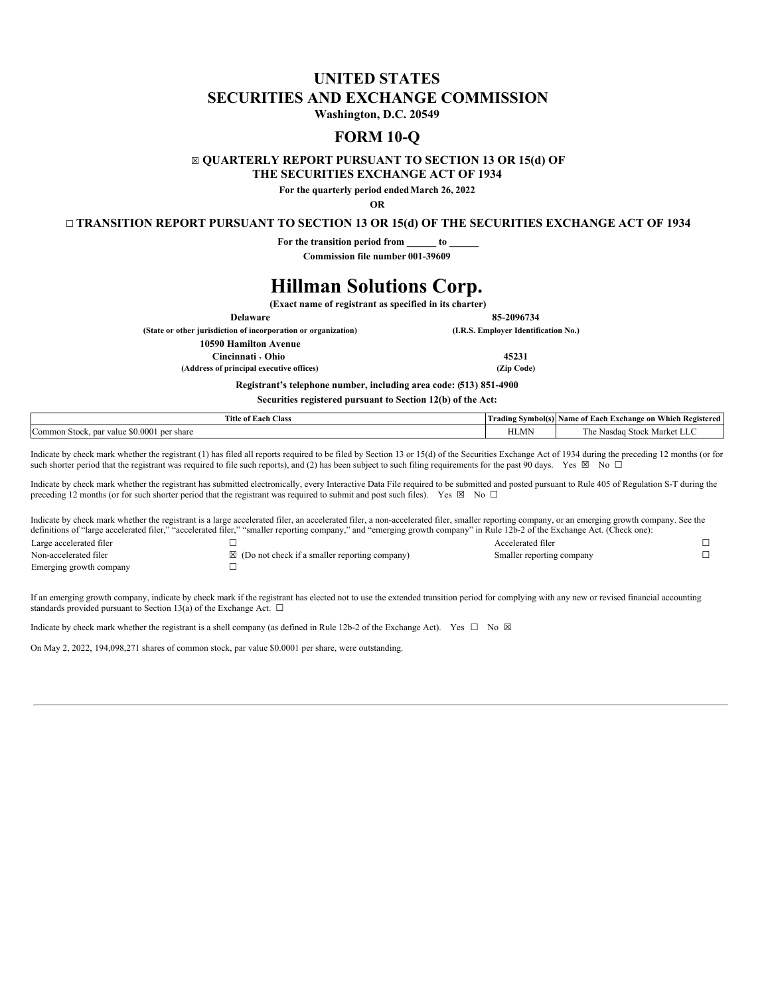# **UNITED STATES SECURITIES AND EXCHANGE COMMISSION**

**Washington, D.C. 20549**

# **FORM 10-Q**

## ☒ **QUARTERLY REPORT PURSUANT TO SECTION 13 OR 15(d) OF**

**THE SECURITIES EXCHANGE ACT OF 1934**

**For the quarterly period endedMarch 26, 2022**

**OR**

## ☐ **TRANSITION REPORT PURSUANT TO SECTION 13 OR 15(d) OF THE SECURITIES EXCHANGE ACT OF 1934**

**For the transition period from \_\_\_\_\_\_ to \_\_\_\_\_\_**

**Commission file number 001-39609**

# **Hillman Solutions Corp.**

**(Exact name of registrant as specified in its charter)**

**Delaware 85-2096734**

**(State or other jurisdiction of incorporation or organization) (I.R.S. Employer Identification No.)**

**10590 Hamilton Avenue**

**Cincinnati**

**, Ohio 45231**

**(Address of principal executive offices) (Zip Code)**

**Registrant's telephone number, including area code: (513) 851-4900**

**Securities registered pursuant to Section 12(b) of the Act:**

| Title of Each<br><b>CONTRACTOR</b><br>Class                        | Symbol(s)<br>Trading  | e of Each Exchange on Which Registered<br>Name                |
|--------------------------------------------------------------------|-----------------------|---------------------------------------------------------------|
| .50.0001<br>$\sim$<br>per share<br>Common<br>nar<br>Stock<br>value | <b>TIT MA</b><br>HLMP | 1 he<br>Market LLC<br>vasdaa<br>Stock<br><b>N<sub>I</sub></b> |

Indicate by check mark whether the registrant (1) has filed all reports required to be filed by Section 13 or 15(d) of the Securities Exchange Act of 1934 during the preceding 12 months (or for such shorter period that the registrant was required to file such reports), and (2) has been subject to such filing requirements for the past 90 days. Yes  $\boxtimes$  No  $\Box$ 

Indicate by check mark whether the registrant has submitted electronically, every Interactive Data File required to be submitted and posted pursuant to Rule 405 of Regulation S-T during the preceding 12 months (or for such shorter period that the registrant was required to submit and post such files). Yes  $\boxtimes$  No  $\Box$ 

Indicate by check mark whether the registrant is a large accelerated filer, an accelerated filer, a non-accelerated filer, smaller reporting company, or an emerging growth company. See the definitions of "large accelerated filer," "accelerated filer," "smaller reporting company," and "emerging growth company" in Rule 12b-2 of the Exchange Act. (Check one): Large accelerated filer **☐** Accelerated filer **☐** Non-accelerated filer **□** *□*  $\boxtimes$  (Do not check if a smaller reporting company) Smaller reporting company □ Emerging growth company **☐**

If an emerging growth company, indicate by check mark if the registrant has elected not to use the extended transition period for complying with any new or revised financial accounting standards provided pursuant to Section 13(a) of the Exchange Act.  $\square$ 

Indicate by check mark whether the registrant is a shell company (as defined in Rule 12b-2 of the Exchange Act). Yes  $\Box$  No  $\boxtimes$ 

<span id="page-0-0"></span>On May 2, 2022, 194,098,271 shares of common stock, par value \$0.0001 per share, were outstanding.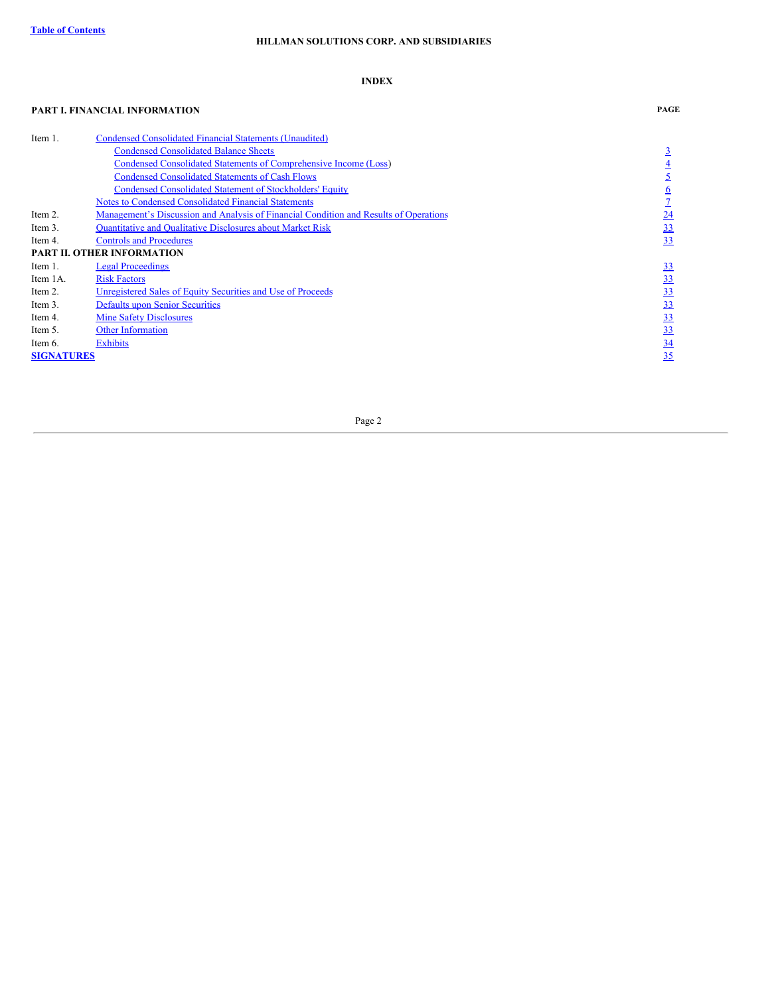## **INDEX**

## **PART I. FINANCIAL INFORMATION PAGE**

<span id="page-1-0"></span>

| Item 1.           | Condensed Consolidated Financial Statements (Unaudited)                               |                 |
|-------------------|---------------------------------------------------------------------------------------|-----------------|
|                   | <b>Condensed Consolidated Balance Sheets</b>                                          |                 |
|                   | Condensed Consolidated Statements of Comprehensive Income (Loss)                      | $\overline{4}$  |
|                   | <b>Condensed Consolidated Statements of Cash Flows</b>                                |                 |
|                   | <b>Condensed Consolidated Statement of Stockholders' Equity</b>                       | $\underline{6}$ |
|                   | <b>Notes to Condensed Consolidated Financial Statements</b>                           |                 |
| Item 2.           | Management's Discussion and Analysis of Financial Condition and Results of Operations | $\overline{24}$ |
| Item 3.           | <b>Ouantitative and Qualitative Disclosures about Market Risk</b>                     | 33              |
| Item 4.           | <b>Controls and Procedures</b>                                                        | 33              |
|                   | <b>PART II. OTHER INFORMATION</b>                                                     |                 |
| Item 1.           | <b>Legal Proceedings</b>                                                              | 33              |
| Item 1A.          | <b>Risk Factors</b>                                                                   | 33              |
| Item 2.           | Unregistered Sales of Equity Securities and Use of Proceeds                           | 33              |
| Item 3.           | <b>Defaults upon Senior Securities</b>                                                | 33              |
| Item 4.           | <b>Mine Safety Disclosures</b>                                                        | 33              |
| Item 5.           | <b>Other Information</b>                                                              | 33              |
| Item 6.           | <b>Exhibits</b>                                                                       | $\overline{34}$ |
| <b>SIGNATURES</b> |                                                                                       | 35              |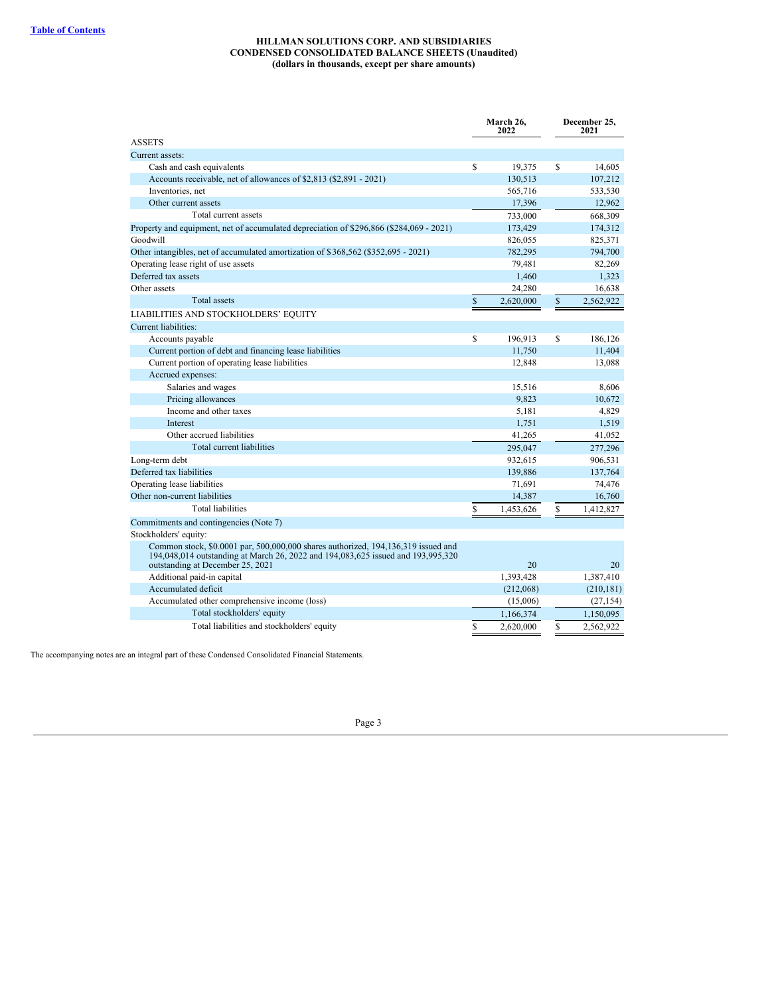## **HILLMAN SOLUTIONS CORP. AND SUBSIDIARIES CONDENSED CONSOLIDATED BALANCE SHEETS (Unaudited) (dollars in thousands, except per share amounts)**

<span id="page-2-0"></span>

|                                                                                                                                                                                                                 | 2021       |
|-----------------------------------------------------------------------------------------------------------------------------------------------------------------------------------------------------------------|------------|
| <b>ASSETS</b>                                                                                                                                                                                                   |            |
| Current assets:                                                                                                                                                                                                 |            |
| S<br>S<br>Cash and cash equivalents<br>19.375                                                                                                                                                                   | 14.605     |
| Accounts receivable, net of allowances of \$2,813 (\$2,891 - 2021)<br>130,513                                                                                                                                   | 107,212    |
| Inventories, net<br>565,716                                                                                                                                                                                     | 533,530    |
| Other current assets<br>17,396                                                                                                                                                                                  | 12,962     |
| Total current assets<br>733,000                                                                                                                                                                                 | 668,309    |
| Property and equipment, net of accumulated depreciation of \$296,866 (\$284,069 - 2021)<br>173,429                                                                                                              | 174,312    |
| Goodwill<br>826,055                                                                                                                                                                                             | 825,371    |
| Other intangibles, net of accumulated amortization of \$368,562 (\$352,695 - 2021)<br>782,295                                                                                                                   | 794,700    |
| Operating lease right of use assets<br>79,481                                                                                                                                                                   | 82,269     |
| Deferred tax assets<br>1,460                                                                                                                                                                                    | 1,323      |
| Other assets<br>24,280                                                                                                                                                                                          | 16,638     |
| <b>Total</b> assets<br>$\mathbb{S}$<br>$\mathbb{S}$<br>2,620,000                                                                                                                                                | 2,562,922  |
| LIABILITIES AND STOCKHOLDERS' EQUITY                                                                                                                                                                            |            |
| Current liabilities:                                                                                                                                                                                            |            |
| \$<br>196,913<br>S<br>Accounts payable                                                                                                                                                                          | 186.126    |
| Current portion of debt and financing lease liabilities<br>11,750                                                                                                                                               | 11,404     |
| Current portion of operating lease liabilities<br>12,848                                                                                                                                                        | 13,088     |
| Accrued expenses:                                                                                                                                                                                               |            |
| Salaries and wages<br>15,516                                                                                                                                                                                    | 8,606      |
| Pricing allowances<br>9,823                                                                                                                                                                                     | 10,672     |
| Income and other taxes<br>5,181                                                                                                                                                                                 | 4,829      |
| 1,751<br><b>Interest</b>                                                                                                                                                                                        | 1,519      |
| Other accrued liabilities<br>41,265                                                                                                                                                                             | 41,052     |
| Total current liabilities<br>295,047                                                                                                                                                                            | 277,296    |
| Long-term debt<br>932,615                                                                                                                                                                                       | 906,531    |
| Deferred tax liabilities<br>139,886                                                                                                                                                                             | 137,764    |
| Operating lease liabilities<br>71,691                                                                                                                                                                           | 74,476     |
| Other non-current liabilities<br>14,387                                                                                                                                                                         | 16,760     |
| <b>Total liabilities</b><br>\$<br>\$<br>1,453,626                                                                                                                                                               | 1,412,827  |
| Commitments and contingencies (Note 7)                                                                                                                                                                          |            |
| Stockholders' equity:                                                                                                                                                                                           |            |
| Common stock, \$0.0001 par, 500,000,000 shares authorized, 194,136,319 issued and<br>194,048,014 outstanding at March 26, 2022 and 194,083,625 issued and 193,995,320<br>outstanding at December 25, 2021<br>20 | 20         |
| Additional paid-in capital<br>1,393,428                                                                                                                                                                         | 1,387,410  |
| Accumulated deficit<br>(212,068)                                                                                                                                                                                | (210, 181) |
| Accumulated other comprehensive income (loss)<br>(15,006)                                                                                                                                                       | (27, 154)  |
| Total stockholders' equity<br>1,166,374                                                                                                                                                                         | 1,150,095  |
| Total liabilities and stockholders' equity<br>\$<br>S<br>2,620,000                                                                                                                                              | 2,562,922  |

<span id="page-2-1"></span>The accompanying notes are an integral part of these Condensed Consolidated Financial Statements.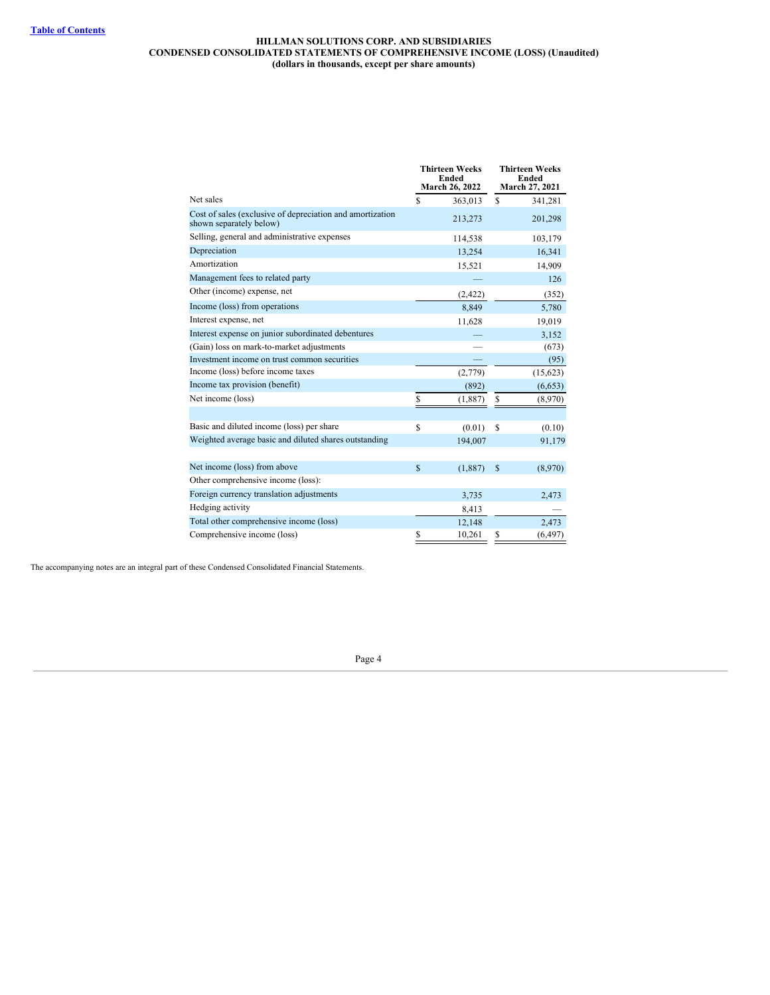## **HILLMAN SOLUTIONS CORP. AND SUBSIDIARIES CONDENSED CONSOLIDATED STATEMENTS OF COMPREHENSIVE INCOME (LOSS) (Unaudited) (dollars in thousands, except per share amounts)**

|                                                                                      |             | <b>Thirteen Weeks</b><br>Ended<br>March 26, 2022 |             | <b>Thirteen Weeks</b><br>Ended<br><b>March 27, 2021</b> |
|--------------------------------------------------------------------------------------|-------------|--------------------------------------------------|-------------|---------------------------------------------------------|
| Net sales                                                                            | \$.         | 363,013                                          | \$.         | 341,281                                                 |
| Cost of sales (exclusive of depreciation and amortization<br>shown separately below) |             | 213,273                                          |             | 201,298                                                 |
| Selling, general and administrative expenses                                         |             | 114,538                                          |             | 103,179                                                 |
| Depreciation                                                                         |             | 13,254                                           |             | 16,341                                                  |
| Amortization                                                                         |             | 15,521                                           |             | 14,909                                                  |
| Management fees to related party                                                     |             |                                                  |             | 126                                                     |
| Other (income) expense, net                                                          |             | (2, 422)                                         |             | (352)                                                   |
| Income (loss) from operations                                                        |             | 8,849                                            |             | 5,780                                                   |
| Interest expense, net                                                                |             | 11,628                                           |             | 19,019                                                  |
| Interest expense on junior subordinated debentures                                   |             |                                                  |             | 3,152                                                   |
| (Gain) loss on mark-to-market adjustments                                            |             |                                                  |             | (673)                                                   |
| Investment income on trust common securities                                         |             |                                                  |             | (95)                                                    |
| Income (loss) before income taxes                                                    |             | (2,779)                                          |             | (15,623)                                                |
| Income tax provision (benefit)                                                       |             | (892)                                            |             | (6,653)                                                 |
| Net income (loss)                                                                    | S           | (1,887)                                          | \$          | (8,970)                                                 |
|                                                                                      |             |                                                  |             |                                                         |
| Basic and diluted income (loss) per share                                            | S           | (0.01)                                           | S           | (0.10)                                                  |
| Weighted average basic and diluted shares outstanding                                |             | 194,007                                          |             | 91,179                                                  |
|                                                                                      |             |                                                  |             |                                                         |
| Net income (loss) from above                                                         | $\mathbf S$ | (1,887)                                          | $\mathbf S$ | (8,970)                                                 |
| Other comprehensive income (loss):                                                   |             |                                                  |             |                                                         |
| Foreign currency translation adjustments                                             |             | 3,735                                            |             | 2,473                                                   |
| Hedging activity                                                                     |             | 8,413                                            |             |                                                         |
| Total other comprehensive income (loss)                                              |             | 12,148                                           |             | 2,473                                                   |
| Comprehensive income (loss)                                                          | \$          | 10,261                                           | \$          | (6, 497)                                                |

<span id="page-3-0"></span>The accompanying notes are an integral part of these Condensed Consolidated Financial Statements.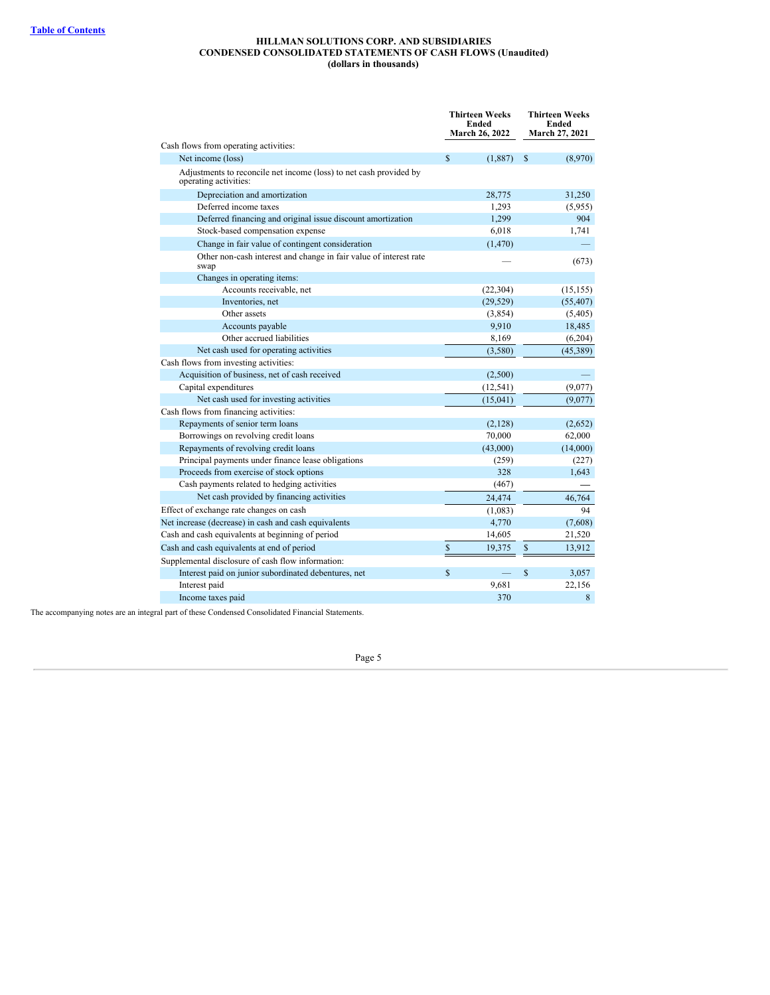#### **HILLMAN SOLUTIONS CORP. AND SUBSIDIARIES CONDENSED CONSOLIDATED STATEMENTS OF CASH FLOWS (Unaudited) (dollars in thousands)**

|                                                                                             |              | <b>Thirteen Weeks</b><br>Ended<br>March 26, 2022 |             | Thirteen Weeks<br><b>Ended</b><br><b>March 27, 2021</b> |
|---------------------------------------------------------------------------------------------|--------------|--------------------------------------------------|-------------|---------------------------------------------------------|
| Cash flows from operating activities:                                                       |              |                                                  |             |                                                         |
| Net income (loss)                                                                           | \$           | (1,887)                                          | \$          | (8,970)                                                 |
| Adjustments to reconcile net income (loss) to net cash provided by<br>operating activities: |              |                                                  |             |                                                         |
| Depreciation and amortization                                                               |              | 28,775                                           |             | 31,250                                                  |
| Deferred income taxes                                                                       |              | 1,293                                            |             | (5,955)                                                 |
| Deferred financing and original issue discount amortization                                 |              | 1,299                                            |             | 904                                                     |
| Stock-based compensation expense                                                            |              | 6,018                                            |             | 1,741                                                   |
| Change in fair value of contingent consideration                                            |              | (1,470)                                          |             |                                                         |
| Other non-cash interest and change in fair value of interest rate<br>swap                   |              |                                                  |             | (673)                                                   |
| Changes in operating items:                                                                 |              |                                                  |             |                                                         |
| Accounts receivable, net                                                                    |              | (22, 304)                                        |             | (15, 155)                                               |
| Inventories, net                                                                            |              | (29, 529)                                        |             | (55, 407)                                               |
| Other assets                                                                                |              | (3,854)                                          |             | (5,405)                                                 |
| Accounts payable                                                                            |              | 9,910                                            |             | 18,485                                                  |
| Other accrued liabilities                                                                   |              | 8,169                                            |             | (6,204)                                                 |
| Net cash used for operating activities                                                      |              | (3,580)                                          |             | (45,389)                                                |
| Cash flows from investing activities:                                                       |              |                                                  |             |                                                         |
| Acquisition of business, net of cash received                                               |              | (2,500)                                          |             |                                                         |
| Capital expenditures                                                                        |              | (12, 541)                                        |             | (9,077)                                                 |
| Net cash used for investing activities                                                      |              | (15,041)                                         |             | (9,077)                                                 |
| Cash flows from financing activities:                                                       |              |                                                  |             |                                                         |
| Repayments of senior term loans                                                             |              | (2,128)                                          |             | (2,652)                                                 |
| Borrowings on revolving credit loans                                                        |              | 70,000                                           |             | 62,000                                                  |
| Repayments of revolving credit loans                                                        |              | (43,000)                                         |             | (14,000)                                                |
| Principal payments under finance lease obligations                                          |              | (259)                                            |             | (227)                                                   |
| Proceeds from exercise of stock options                                                     |              | 328                                              |             | 1,643                                                   |
| Cash payments related to hedging activities                                                 |              | (467)                                            |             |                                                         |
| Net cash provided by financing activities                                                   |              | 24,474                                           |             | 46,764                                                  |
| Effect of exchange rate changes on cash                                                     |              | (1,083)                                          |             | 94                                                      |
| Net increase (decrease) in cash and cash equivalents                                        |              | 4,770                                            |             | (7,608)                                                 |
| Cash and cash equivalents at beginning of period                                            |              | 14,605                                           |             | 21,520                                                  |
| Cash and cash equivalents at end of period                                                  | \$           | 19,375                                           | \$          | 13,912                                                  |
| Supplemental disclosure of cash flow information:                                           |              |                                                  |             |                                                         |
| Interest paid on junior subordinated debentures, net                                        | $\mathbb{S}$ |                                                  | $\mathbf S$ | 3,057                                                   |
| Interest paid                                                                               |              | 9,681                                            |             | 22,156                                                  |
| Income taxes paid                                                                           |              | 370                                              |             | $\,8\,$                                                 |

<span id="page-4-0"></span>The accompanying notes are an integral part of these Condensed Consolidated Financial Statements.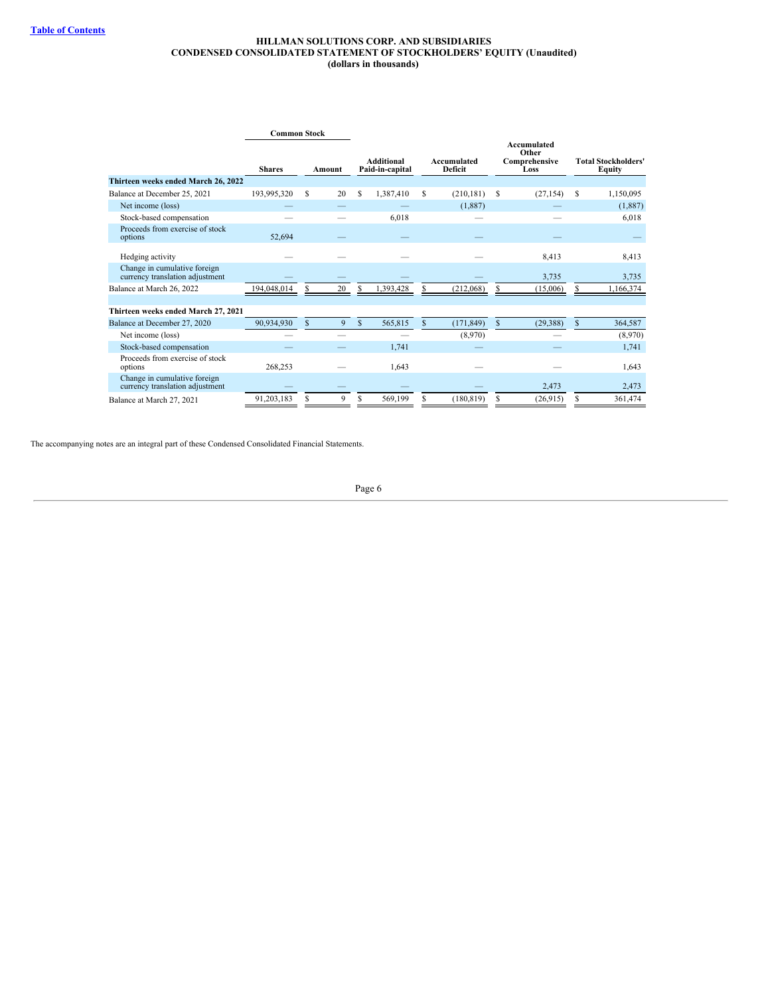#### **HILLMAN SOLUTIONS CORP. AND SUBSIDIARIES CONDENSED CONSOLIDATED STATEMENT OF STOCKHOLDERS' EQUITY (Unaudited) (dollars in thousands)**

|                                                                 | <b>Common Stock</b> |               |    |   |                               |    |                               |               |                                               |              |                                             |
|-----------------------------------------------------------------|---------------------|---------------|----|---|-------------------------------|----|-------------------------------|---------------|-----------------------------------------------|--------------|---------------------------------------------|
|                                                                 | <b>Shares</b>       | Amount        |    |   | Additional<br>Paid-in-capital |    | Accumulated<br><b>Deficit</b> |               | Accumulated<br>Other<br>Comprehensive<br>Loss |              | <b>Total Stockholders'</b><br><b>Equity</b> |
| Thirteen weeks ended March 26, 2022                             |                     |               |    |   |                               |    |                               |               |                                               |              |                                             |
| Balance at December 25, 2021                                    | 193,995,320         | S             | 20 | S | 1,387,410                     | S  | (210, 181)                    | \$            | (27, 154)                                     | S            | 1,150,095                                   |
| Net income (loss)                                               |                     |               |    |   |                               |    | (1,887)                       |               |                                               |              | (1,887)                                     |
| Stock-based compensation                                        |                     |               |    |   | 6,018                         |    |                               |               |                                               |              | 6,018                                       |
| Proceeds from exercise of stock<br>options                      | 52,694              |               |    |   |                               |    |                               |               |                                               |              |                                             |
| Hedging activity                                                |                     |               |    |   |                               |    |                               |               | 8,413                                         |              | 8,413                                       |
| Change in cumulative foreign<br>currency translation adjustment |                     |               |    |   |                               |    |                               |               | 3,735                                         |              | 3,735                                       |
| Balance at March 26, 2022                                       | 194,048,014         | S             | 20 |   | 1,393,428                     |    | (212,068)                     | S             | (15,006)                                      | S            | 1,166,374                                   |
| Thirteen weeks ended March 27, 2021                             |                     |               |    |   |                               |    |                               |               |                                               |              |                                             |
| Balance at December 27, 2020                                    | 90,934,930          | $\mathcal{S}$ | 9  | S | 565,815                       | \$ | (171, 849)                    | <sup>\$</sup> | (29, 388)                                     | $\mathbb{S}$ | 364,587                                     |
| Net income (loss)                                               |                     |               |    |   |                               |    | (8,970)                       |               |                                               |              | (8,970)                                     |
| Stock-based compensation                                        |                     |               |    |   | 1,741                         |    |                               |               |                                               |              | 1,741                                       |
| Proceeds from exercise of stock<br>options                      | 268,253             |               |    |   | 1,643                         |    |                               |               |                                               |              | 1,643                                       |
| Change in cumulative foreign<br>currency translation adjustment |                     |               |    |   |                               |    |                               |               | 2,473                                         |              | 2,473                                       |
| Balance at March 27, 2021                                       | 91,203,183          | S             | 9  | S | 569,199                       | S  | (180.819)                     | S             | (26,915)                                      | S            | 361,474                                     |

<span id="page-5-0"></span>The accompanying notes are an integral part of these Condensed Consolidated Financial Statements.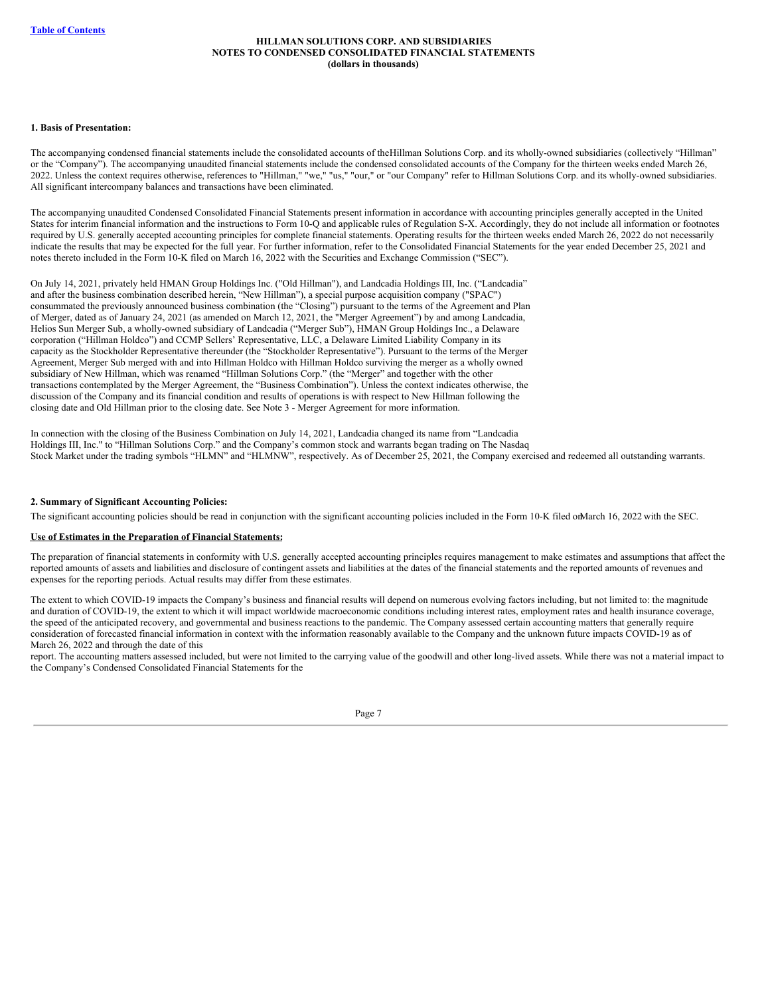#### **1. Basis of Presentation:**

The accompanying condensed financial statements include the consolidated accounts of theHillman Solutions Corp. and its wholly-owned subsidiaries (collectively "Hillman" or the "Company"). The accompanying unaudited financial statements include the condensed consolidated accounts of the Company for the thirteen weeks ended March 26, 2022. Unless the context requires otherwise, references to "Hillman," "we," "us," "our," or "our Company" refer to Hillman Solutions Corp. and its wholly-owned subsidiaries. All significant intercompany balances and transactions have been eliminated.

The accompanying unaudited Condensed Consolidated Financial Statements present information in accordance with accounting principles generally accepted in the United States for interim financial information and the instructions to Form 10-Q and applicable rules of Regulation S-X. Accordingly, they do not include all information or footnotes required by U.S. generally accepted accounting principles for complete financial statements. Operating results for the thirteen weeks ended March 26, 2022 do not necessarily indicate the results that may be expected for the full year. For further information, refer to the Consolidated Financial Statements for the year ended December 25, 2021 and notes thereto included in the Form 10-K filed on March 16, 2022 with the Securities and Exchange Commission ("SEC").

On July 14, 2021, privately held HMAN Group Holdings Inc. ("Old Hillman"), and Landcadia Holdings III, Inc. ("Landcadia" and after the business combination described herein, "New Hillman"), a special purpose acquisition company ("SPAC") consummated the previously announced business combination (the "Closing") pursuant to the terms of the Agreement and Plan of Merger, dated as of January 24, 2021 (as amended on March 12, 2021, the "Merger Agreement") by and among Landcadia, Helios Sun Merger Sub, a wholly-owned subsidiary of Landcadia ("Merger Sub"), HMAN Group Holdings Inc., a Delaware corporation ("Hillman Holdco") and CCMP Sellers' Representative, LLC, a Delaware Limited Liability Company in its capacity as the Stockholder Representative thereunder (the "Stockholder Representative"). Pursuant to the terms of the Merger Agreement, Merger Sub merged with and into Hillman Holdco with Hillman Holdco surviving the merger as a wholly owned subsidiary of New Hillman, which was renamed "Hillman Solutions Corp." (the "Merger" and together with the other transactions contemplated by the Merger Agreement, the "Business Combination"). Unless the context indicates otherwise, the discussion of the Company and its financial condition and results of operations is with respect to New Hillman following the closing date and Old Hillman prior to the closing date. See Note 3 - Merger Agreement for more information.

In connection with the closing of the Business Combination on July 14, 2021, Landcadia changed its name from "Landcadia Holdings III, Inc." to "Hillman Solutions Corp." and the Company's common stock and warrants began trading on The Nasdaq Stock Market under the trading symbols "HLMN" and "HLMNW", respectively. As of December 25, 2021, the Company exercised and redeemed all outstanding warrants.

#### **2. Summary of Significant Accounting Policies:**

The significant accounting policies should be read in conjunction with the significant accounting policies included in the Form 10-K filed onMarch 16, 2022 with the SEC.

## **Use of Estimates in the Preparation of Financial Statements:**

The preparation of financial statements in conformity with U.S. generally accepted accounting principles requires management to make estimates and assumptions that affect the reported amounts of assets and liabilities and disclosure of contingent assets and liabilities at the dates of the financial statements and the reported amounts of revenues and expenses for the reporting periods. Actual results may differ from these estimates.

The extent to which COVID-19 impacts the Company's business and financial results will depend on numerous evolving factors including, but not limited to: the magnitude and duration of COVID-19, the extent to which it will impact worldwide macroeconomic conditions including interest rates, employment rates and health insurance coverage, the speed of the anticipated recovery, and governmental and business reactions to the pandemic. The Company assessed certain accounting matters that generally require consideration of forecasted financial information in context with the information reasonably available to the Company and the unknown future impacts COVID-19 as of March 26, 2022 and through the date of this

report. The accounting matters assessed included, but were not limited to the carrying value of the goodwill and other long-lived assets. While there was not a material impact to the Company's Condensed Consolidated Financial Statements for the

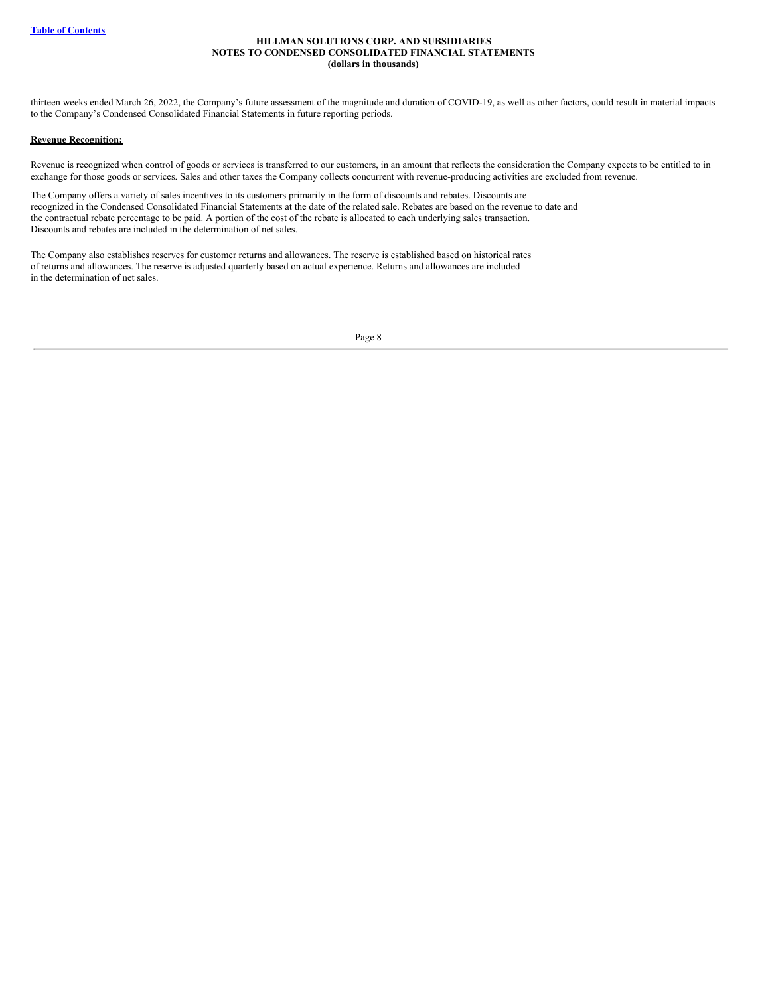thirteen weeks ended March 26, 2022, the Company's future assessment of the magnitude and duration of COVID-19, as well as other factors, could result in material impacts to the Company's Condensed Consolidated Financial Statements in future reporting periods.

## **Revenue Recognition:**

Revenue is recognized when control of goods or services is transferred to our customers, in an amount that reflects the consideration the Company expects to be entitled to in exchange for those goods or services. Sales and other taxes the Company collects concurrent with revenue-producing activities are excluded from revenue.

The Company offers a variety of sales incentives to its customers primarily in the form of discounts and rebates. Discounts are recognized in the Condensed Consolidated Financial Statements at the date of the related sale. Rebates are based on the revenue to date and the contractual rebate percentage to be paid. A portion of the cost of the rebate is allocated to each underlying sales transaction. Discounts and rebates are included in the determination of net sales.

The Company also establishes reserves for customer returns and allowances. The reserve is established based on historical rates of returns and allowances. The reserve is adjusted quarterly based on actual experience. Returns and allowances are included in the determination of net sales.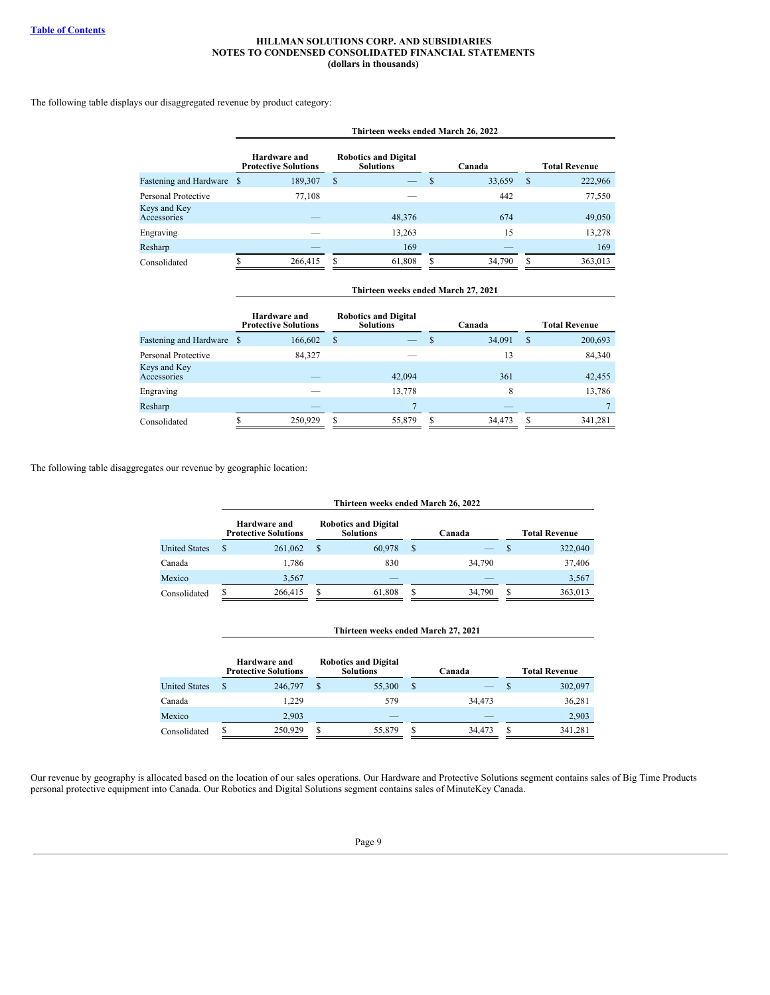## The following table displays our disaggregated revenue by product category:

|                             | Thirteen weeks ended March 26, 2022         |                                                 |             |                          |  |  |  |  |  |
|-----------------------------|---------------------------------------------|-------------------------------------------------|-------------|--------------------------|--|--|--|--|--|
|                             | Hardware and<br><b>Protective Solutions</b> | <b>Robotics and Digital</b><br><b>Solutions</b> | Canada      | <b>Total Revenue</b>     |  |  |  |  |  |
| Fastening and Hardware \$   | 189,307                                     | \$<br>—                                         | 33,659      | <sup>\$</sup><br>222,966 |  |  |  |  |  |
| Personal Protective         | 77,108                                      |                                                 | 442         | 77,550                   |  |  |  |  |  |
| Keys and Key<br>Accessories |                                             | 48,376                                          | 674         | 49,050                   |  |  |  |  |  |
| Engraving                   |                                             | 13,263                                          | 15          | 13,278                   |  |  |  |  |  |
| Resharp                     |                                             | 169                                             |             | 169                      |  |  |  |  |  |
| Consolidated                | 266,415                                     | 61.808<br>S                                     | 34,790<br>S | 363,013<br>S             |  |  |  |  |  |

|                               |     | Hardware and<br><b>Protective Solutions</b> |   | <b>Robotics and Digital</b><br><b>Solutions</b> |   | Canada |               | <b>Total Revenue</b> |
|-------------------------------|-----|---------------------------------------------|---|-------------------------------------------------|---|--------|---------------|----------------------|
| <b>Fastening and Hardware</b> | - S | 166,602                                     | S |                                                 | S | 34,091 | <sup>\$</sup> | 200,693              |
| Personal Protective           |     | 84,327                                      |   |                                                 |   | 13     |               | 84,340               |
| Keys and Key<br>Accessories   |     |                                             |   | 42,094                                          |   | 361    |               | 42,455               |
| Engraving                     |     |                                             |   | 13,778                                          |   | 8      |               | 13,786               |
| Resharp                       |     |                                             |   |                                                 |   |        |               |                      |
| Consolidated                  |     | 250,929                                     | S | 55,879                                          | S | 34,473 | S             | 341,281              |

**Thirteen weeks ended March 27, 2021**

The following table disaggregates our revenue by geographic location:

|                      |   | Thirteen weeks ended March 26, 2022         |   |                                                 |   |        |          |                      |  |  |  |
|----------------------|---|---------------------------------------------|---|-------------------------------------------------|---|--------|----------|----------------------|--|--|--|
|                      |   | Hardware and<br><b>Protective Solutions</b> |   | <b>Robotics and Digital</b><br><b>Solutions</b> |   | Canada |          | <b>Total Revenue</b> |  |  |  |
| <b>United States</b> | S | 261,062                                     | S | 60,978                                          | S |        | <b>S</b> | 322,040              |  |  |  |
| Canada               |   | 1.786                                       |   | 830                                             |   | 34,790 |          | 37,406               |  |  |  |
| Mexico               |   | 3.567                                       |   |                                                 |   |        |          | 3,567                |  |  |  |
| Consolidated         |   | 266,415                                     |   | 61,808                                          |   | 34,790 | S        | 363,013              |  |  |  |

#### **Thirteen weeks ended March 27, 2021**

|                      | Hardware and<br><b>Protective Solutions</b> |   | <b>Robotics and Digital</b><br><b>Solutions</b> |   | Canada |   | <b>Total Revenue</b> |
|----------------------|---------------------------------------------|---|-------------------------------------------------|---|--------|---|----------------------|
| <b>United States</b> | 246,797                                     |   | 55,300                                          | S |        |   | 302,097              |
| Canada               | 1.229                                       |   | 579                                             |   | 34,473 |   | 36,281               |
| Mexico               | 2,903                                       |   |                                                 |   |        |   | 2,903                |
| Consolidated         | 250,929                                     | S | 55,879                                          | S | 34,473 | S | 341,281              |

Our revenue by geography is allocated based on the location of our sales operations. Our Hardware and Protective Solutions segment contains sales of Big Time Products personal protective equipment into Canada. Our Robotics and Digital Solutions segment contains sales of MinuteKey Canada.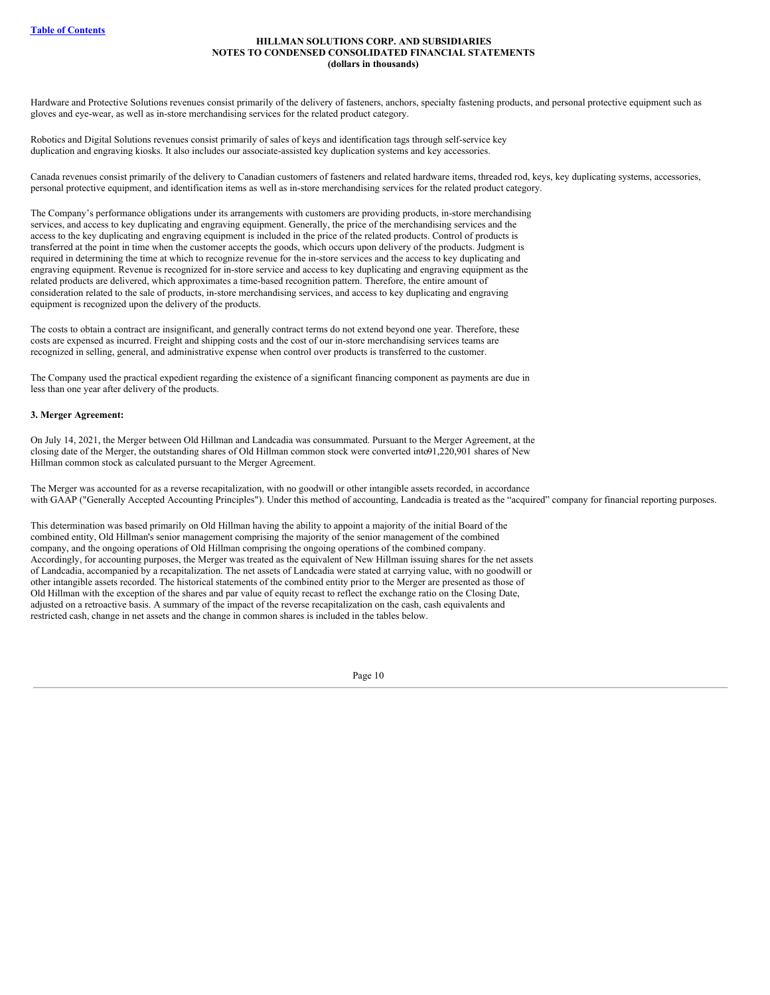Hardware and Protective Solutions revenues consist primarily of the delivery of fasteners, anchors, specialty fastening products, and personal protective equipment such as gloves and eye-wear, as well as in-store merchandising services for the related product category.

Robotics and Digital Solutions revenues consist primarily of sales of keys and identification tags through self-service key duplication and engraving kiosks. It also includes our associate-assisted key duplication systems and key accessories.

Canada revenues consist primarily of the delivery to Canadian customers of fasteners and related hardware items, threaded rod, keys, key duplicating systems, accessories, personal protective equipment, and identification items as well as in-store merchandising services for the related product category.

The Company's performance obligations under its arrangements with customers are providing products, in-store merchandising services, and access to key duplicating and engraving equipment. Generally, the price of the merchandising services and the access to the key duplicating and engraving equipment is included in the price of the related products. Control of products is transferred at the point in time when the customer accepts the goods, which occurs upon delivery of the products. Judgment is required in determining the time at which to recognize revenue for the in-store services and the access to key duplicating and engraving equipment. Revenue is recognized for in-store service and access to key duplicating and engraving equipment as the related products are delivered, which approximates a time-based recognition pattern. Therefore, the entire amount of consideration related to the sale of products, in-store merchandising services, and access to key duplicating and engraving equipment is recognized upon the delivery of the products.

The costs to obtain a contract are insignificant, and generally contract terms do not extend beyond one year. Therefore, these costs are expensed as incurred. Freight and shipping costs and the cost of our in-store merchandising services teams are recognized in selling, general, and administrative expense when control over products is transferred to the customer.

The Company used the practical expedient regarding the existence of a significant financing component as payments are due in less than one year after delivery of the products.

## **3. Merger Agreement:**

On July 14, 2021, the Merger between Old Hillman and Landcadia was consummated. Pursuant to the Merger Agreement, at the closing date of the Merger, the outstanding shares of Old Hillman common stock were converted into91,220,901 shares of New Hillman common stock as calculated pursuant to the Merger Agreement.

The Merger was accounted for as a reverse recapitalization, with no goodwill or other intangible assets recorded, in accordance with GAAP ("Generally Accepted Accounting Principles"). Under this method of accounting, Landcadia is treated as the "acquired" company for financial reporting purposes.

This determination was based primarily on Old Hillman having the ability to appoint a majority of the initial Board of the combined entity, Old Hillman's senior management comprising the majority of the senior management of the combined company, and the ongoing operations of Old Hillman comprising the ongoing operations of the combined company. Accordingly, for accounting purposes, the Merger was treated as the equivalent of New Hillman issuing shares for the net assets of Landcadia, accompanied by a recapitalization. The net assets of Landcadia were stated at carrying value, with no goodwill or other intangible assets recorded. The historical statements of the combined entity prior to the Merger are presented as those of Old Hillman with the exception of the shares and par value of equity recast to reflect the exchange ratio on the Closing Date, adjusted on a retroactive basis. A summary of the impact of the reverse recapitalization on the cash, cash equivalents and restricted cash, change in net assets and the change in common shares is included in the tables below.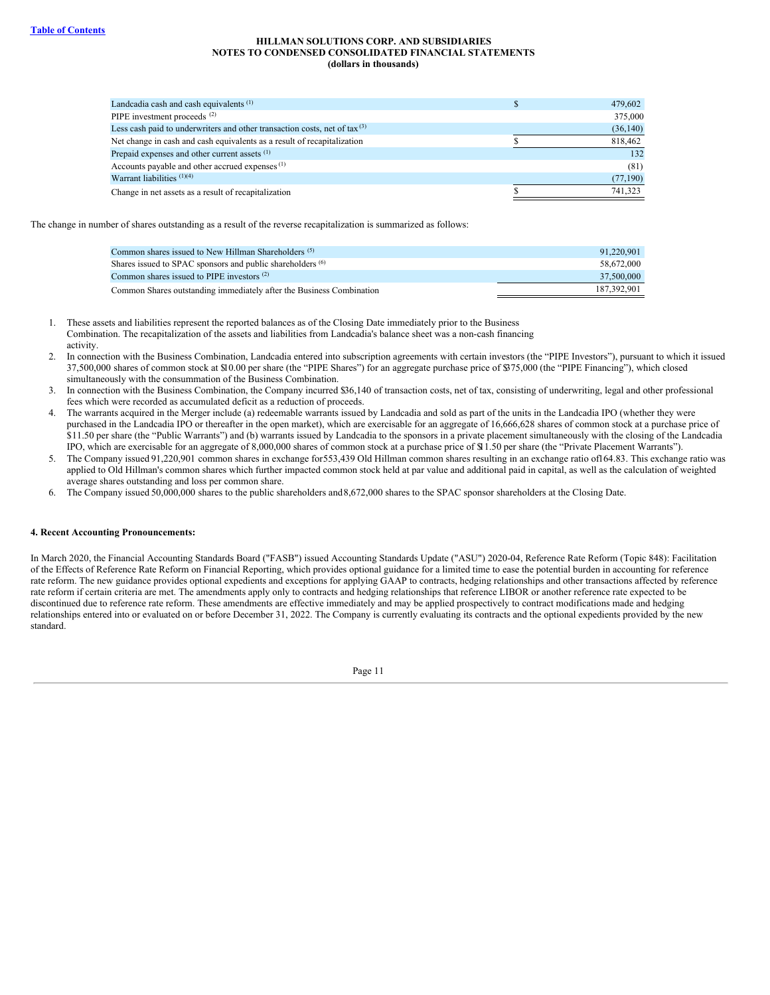| Landcadia cash and cash equivalents <sup>(1)</sup>                                    | 479,602   |
|---------------------------------------------------------------------------------------|-----------|
| PIPE investment proceeds <sup>(2)</sup>                                               | 375,000   |
| Less cash paid to underwriters and other transaction costs, net of $\text{tax}^{(3)}$ | (36, 140) |
| Net change in cash and cash equivalents as a result of recapitalization               | 818,462   |
| Prepaid expenses and other current assets <sup>(1)</sup>                              | 132       |
| Accounts payable and other accrued expenses <sup>(1)</sup>                            | (81)      |
| Warrant liabilities $(1)(4)$                                                          | (77,190)  |
| Change in net assets as a result of recapitalization                                  | 741,323   |

The change in number of shares outstanding as a result of the reverse recapitalization is summarized as follows:

| Common shares issued to New Hillman Shareholders <sup>(5)</sup>       | 91.220.901  |
|-----------------------------------------------------------------------|-------------|
| Shares issued to SPAC sponsors and public shareholders <sup>(6)</sup> | 58.672.000  |
| Common shares issued to PIPE investors $(2)$                          | 37,500,000  |
| Common Shares outstanding immediately after the Business Combination  | 187.392.901 |

- 1. These assets and liabilities represent the reported balances as of the Closing Date immediately prior to the Business Combination. The recapitalization of the assets and liabilities from Landcadia's balance sheet was a non-cash financing activity.
- 2. In connection with the Business Combination, Landcadia entered into subscription agreements with certain investors (the "PIPE Investors"), pursuant to which it issued 37,500,000 shares of common stock at \$10.00 per share (the "PIPE Shares") for an aggregate purchase price of \$375,000 (the "PIPE Financing"), which closed simultaneously with the consummation of the Business Combination.
- 3. In connection with the Business Combination, the Company incurred \$36,140 of transaction costs, net of tax, consisting of underwriting, legal and other professional fees which were recorded as accumulated deficit as a reduction of proceeds.
- 4. The warrants acquired in the Merger include (a) redeemable warrants issued by Landcadia and sold as part of the units in the Landcadia IPO (whether they were purchased in the Landcadia IPO or thereafter in the open market), which are exercisable for an aggregate of 16,666,628 shares of common stock at a purchase price of \$11.50 per share (the "Public Warrants") and (b) warrants issued by Landcadia to the sponsors in a private placement simultaneously with the closing of the Landcadia IPO, which are exercisable for an aggregate of 8,000,000 shares of common stock at a purchase price of \$11.50 per share (the "Private Placement Warrants").
- 5. The Company issued 91,220,901 common shares in exchange for553,439 Old Hillman common shares resulting in an exchange ratio of164.83. This exchange ratio was applied to Old Hillman's common shares which further impacted common stock held at par value and additional paid in capital, as well as the calculation of weighted average shares outstanding and loss per common share.
- 6. The Company issued 50,000,000 shares to the public shareholders and8,672,000 shares to the SPAC sponsor shareholders at the Closing Date.

## **4. Recent Accounting Pronouncements:**

In March 2020, the Financial Accounting Standards Board ("FASB") issued Accounting Standards Update ("ASU") 2020-04, Reference Rate Reform (Topic 848): Facilitation of the Effects of Reference Rate Reform on Financial Reporting, which provides optional guidance for a limited time to ease the potential burden in accounting for reference rate reform. The new guidance provides optional expedients and exceptions for applying GAAP to contracts, hedging relationships and other transactions affected by reference rate reform if certain criteria are met. The amendments apply only to contracts and hedging relationships that reference LIBOR or another reference rate expected to be discontinued due to reference rate reform. These amendments are effective immediately and may be applied prospectively to contract modifications made and hedging relationships entered into or evaluated on or before December 31, 2022. The Company is currently evaluating its contracts and the optional expedients provided by the new standard.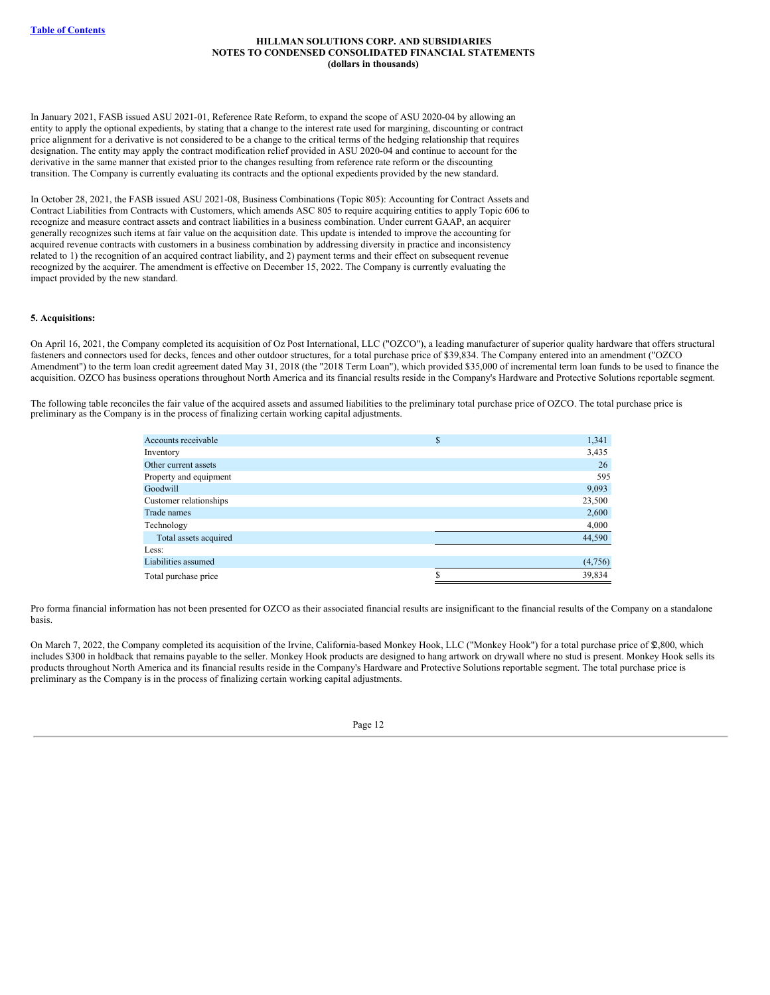In January 2021, FASB issued ASU 2021-01, Reference Rate Reform, to expand the scope of ASU 2020-04 by allowing an entity to apply the optional expedients, by stating that a change to the interest rate used for margining, discounting or contract price alignment for a derivative is not considered to be a change to the critical terms of the hedging relationship that requires designation. The entity may apply the contract modification relief provided in ASU 2020-04 and continue to account for the derivative in the same manner that existed prior to the changes resulting from reference rate reform or the discounting transition. The Company is currently evaluating its contracts and the optional expedients provided by the new standard.

In October 28, 2021, the FASB issued ASU 2021-08, Business Combinations (Topic 805): Accounting for Contract Assets and Contract Liabilities from Contracts with Customers, which amends ASC 805 to require acquiring entities to apply Topic 606 to recognize and measure contract assets and contract liabilities in a business combination. Under current GAAP, an acquirer generally recognizes such items at fair value on the acquisition date. This update is intended to improve the accounting for acquired revenue contracts with customers in a business combination by addressing diversity in practice and inconsistency related to 1) the recognition of an acquired contract liability, and 2) payment terms and their effect on subsequent revenue recognized by the acquirer. The amendment is effective on December 15, 2022. The Company is currently evaluating the impact provided by the new standard.

#### **5. Acquisitions:**

On April 16, 2021, the Company completed its acquisition of Oz Post International, LLC ("OZCO"), a leading manufacturer of superior quality hardware that offers structural fasteners and connectors used for decks, fences and other outdoor structures, for a total purchase price of \$39,834. The Company entered into an amendment ("OZCO Amendment") to the term loan credit agreement dated May 31, 2018 (the "2018 Term Loan"), which provided \$35,000 of incremental term loan funds to be used to finance the acquisition. OZCO has business operations throughout North America and its financial results reside in the Company's Hardware and Protective Solutions reportable segment.

The following table reconciles the fair value of the acquired assets and assumed liabilities to the preliminary total purchase price of OZCO. The total purchase price is preliminary as the Company is in the process of finalizing certain working capital adjustments.

| Accounts receivable    | \$<br>1,341 |
|------------------------|-------------|
| Inventory              | 3,435       |
| Other current assets   | 26          |
| Property and equipment | 595         |
| Goodwill               | 9,093       |
| Customer relationships | 23,500      |
| Trade names            | 2,600       |
| Technology             | 4,000       |
| Total assets acquired  | 44,590      |
| Less:                  |             |
| Liabilities assumed    | (4,756)     |
| Total purchase price   | 39,834      |

Pro forma financial information has not been presented for OZCO as their associated financial results are insignificant to the financial results of the Company on a standalone basis.

On March 7, 2022, the Company completed its acquisition of the Irvine, California-based Monkey Hook, LLC ("Monkey Hook") for a total purchase price of \$2,800, which includes \$300 in holdback that remains payable to the seller. Monkey Hook products are designed to hang artwork on drywall where no stud is present. Monkey Hook sells its products throughout North America and its financial results reside in the Company's Hardware and Protective Solutions reportable segment. The total purchase price is preliminary as the Company is in the process of finalizing certain working capital adjustments.

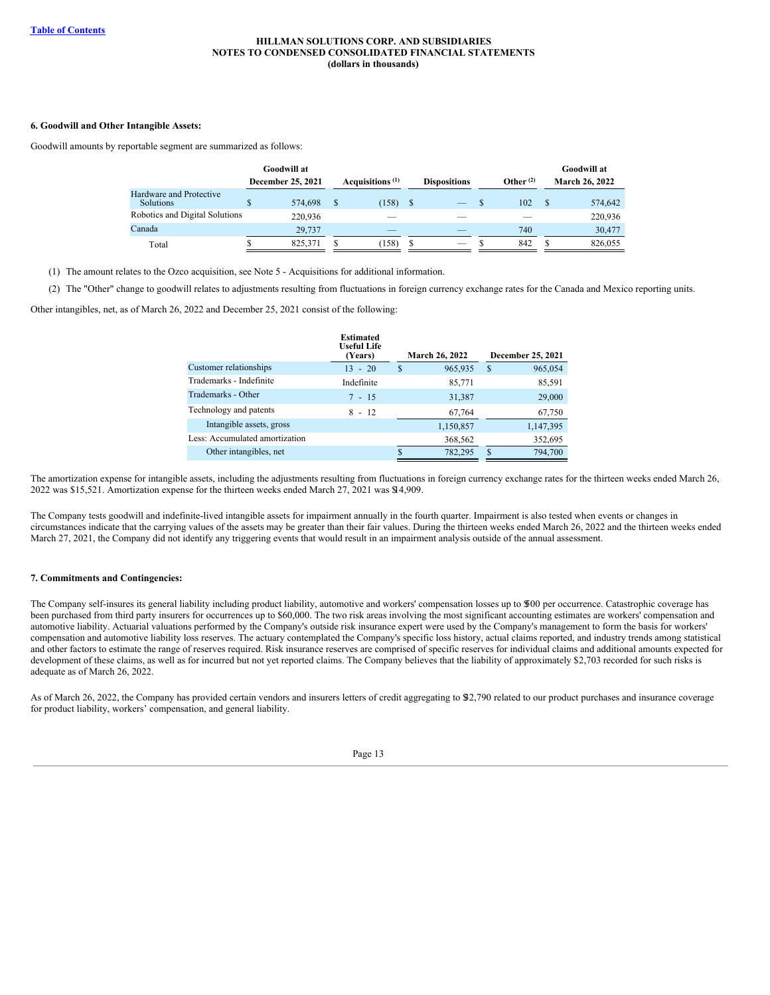## **6. Goodwill and Other Intangible Assets:**

Goodwill amounts by reportable segment are summarized as follows:

|                                             |    | Goodwill at              |                             |      |                     |             | Goodwill at           |
|---------------------------------------------|----|--------------------------|-----------------------------|------|---------------------|-------------|-----------------------|
|                                             |    | <b>December 25, 2021</b> | Acquisitions <sup>(1)</sup> |      | <b>Dispositions</b> | Other $(2)$ | <b>March 26, 2022</b> |
| Hardware and Protective<br><b>Solutions</b> | \$ | 574,698                  | (158)                       | - \$ |                     | 102         | 574,642               |
| Robotics and Digital Solutions              |    | 220,936                  |                             |      |                     |             | 220,936               |
| Canada                                      |    | 29,737                   |                             |      |                     | 740         | 30,477                |
| Total                                       | D  | 825.371                  | (158)                       |      |                     | 842         | 826,055               |

(1) The amount relates to the Ozco acquisition, see Note 5 - Acquisitions for additional information.

(2) The "Other" change to goodwill relates to adjustments resulting from fluctuations in foreign currency exchange rates for the Canada and Mexico reporting units.

Other intangibles, net, as of March 26, 2022 and December 25, 2021 consist of the following:

|                                | <b>Estimated</b><br><b>Useful Life</b><br>(Years) |   | <b>March 26, 2022</b> |               | December 25, 2021 |
|--------------------------------|---------------------------------------------------|---|-----------------------|---------------|-------------------|
| Customer relationships         | $13 - 20$                                         | S | 965,935               | <sup>\$</sup> | 965,054           |
| Trademarks - Indefinite        | Indefinite                                        |   | 85,771                |               | 85,591            |
| Trademarks - Other             | $7 - 15$                                          |   | 31,387                |               | 29,000            |
| Technology and patents         | $8 - 12$                                          |   | 67,764                |               | 67,750            |
| Intangible assets, gross       |                                                   |   | 1,150,857             |               | 1,147,395         |
| Less: Accumulated amortization |                                                   |   | 368,562               |               | 352,695           |
| Other intangibles, net         |                                                   |   | 782,295               | S.            | 794,700           |

The amortization expense for intangible assets, including the adjustments resulting from fluctuations in foreign currency exchange rates for the thirteen weeks ended March 26, 2022 was \$15,521. Amortization expense for the thirteen weeks ended March 27, 2021 was \$14,909.

The Company tests goodwill and indefinite-lived intangible assets for impairment annually in the fourth quarter. Impairment is also tested when events or changes in circumstances indicate that the carrying values of the assets may be greater than their fair values. During the thirteen weeks ended March 26, 2022 and the thirteen weeks ended March 27, 2021, the Company did not identify any triggering events that would result in an impairment analysis outside of the annual assessment.

## **7. Commitments and Contingencies:**

The Company self-insures its general liability including product liability, automotive and workers' compensation losses up to \$00 per occurrence. Catastrophic coverage has been purchased from third party insurers for occurrences up to \$60,000. The two risk areas involving the most significant accounting estimates are workers' compensation and automotive liability. Actuarial valuations performed by the Company's outside risk insurance expert were used by the Company's management to form the basis for workers' compensation and automotive liability loss reserves. The actuary contemplated the Company's specific loss history, actual claims reported, and industry trends among statistical and other factors to estimate the range of reserves required. Risk insurance reserves are comprised of specific reserves for individual claims and additional amounts expected for development of these claims, as well as for incurred but not yet reported claims. The Company believes that the liability of approximately \$2,703 recorded for such risks is adequate as of March 26, 2022.

As of March 26, 2022, the Company has provided certain vendors and insurers letters of credit aggregating to \$32,790 related to our product purchases and insurance coverage for product liability, workers' compensation, and general liability.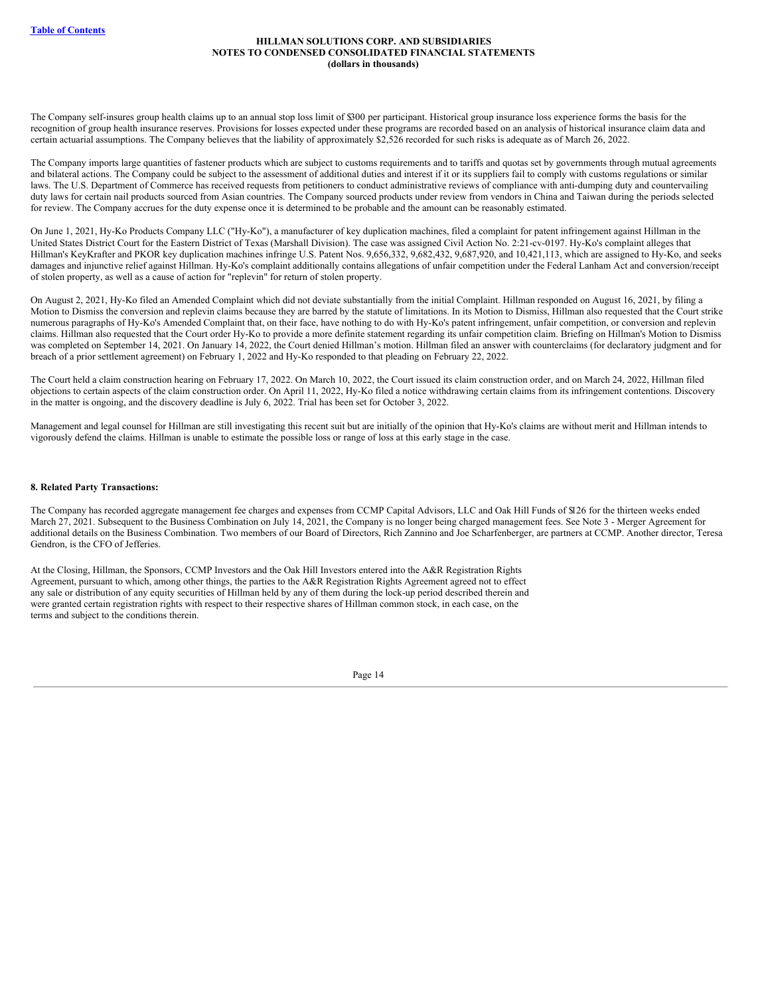The Company self-insures group health claims up to an annual stop loss limit of \$300 per participant. Historical group insurance loss experience forms the basis for the recognition of group health insurance reserves. Provisions for losses expected under these programs are recorded based on an analysis of historical insurance claim data and certain actuarial assumptions. The Company believes that the liability of approximately \$2,526 recorded for such risks is adequate as of March 26, 2022.

The Company imports large quantities of fastener products which are subject to customs requirements and to tariffs and quotas set by governments through mutual agreements and bilateral actions. The Company could be subject to the assessment of additional duties and interest if it or its suppliers fail to comply with customs regulations or similar laws. The U.S. Department of Commerce has received requests from petitioners to conduct administrative reviews of compliance with anti-dumping duty and countervailing duty laws for certain nail products sourced from Asian countries. The Company sourced products under review from vendors in China and Taiwan during the periods selected for review. The Company accrues for the duty expense once it is determined to be probable and the amount can be reasonably estimated.

On June 1, 2021, Hy-Ko Products Company LLC ("Hy-Ko"), a manufacturer of key duplication machines, filed a complaint for patent infringement against Hillman in the United States District Court for the Eastern District of Texas (Marshall Division). The case was assigned Civil Action No. 2:21-cv-0197. Hy-Ko's complaint alleges that Hillman's KeyKrafter and PKOR key duplication machines infringe U.S. Patent Nos. 9,656,332, 9,682,432, 9,687,920, and 10,421,113, which are assigned to Hy-Ko, and seeks damages and injunctive relief against Hillman. Hy-Ko's complaint additionally contains allegations of unfair competition under the Federal Lanham Act and conversion/receipt of stolen property, as well as a cause of action for "replevin" for return of stolen property.

On August 2, 2021, Hy-Ko filed an Amended Complaint which did not deviate substantially from the initial Complaint. Hillman responded on August 16, 2021, by filing a Motion to Dismiss the conversion and replevin claims because they are barred by the statute of limitations. In its Motion to Dismiss, Hillman also requested that the Court strike numerous paragraphs of Hy-Ko's Amended Complaint that, on their face, have nothing to do with Hy-Ko's patent infringement, unfair competition, or conversion and replevin claims. Hillman also requested that the Court order Hy-Ko to provide a more definite statement regarding its unfair competition claim. Briefing on Hillman's Motion to Dismiss was completed on September 14, 2021. On January 14, 2022, the Court denied Hillman's motion. Hillman filed an answer with counterclaims (for declaratory judgment and for breach of a prior settlement agreement) on February 1, 2022 and Hy-Ko responded to that pleading on February 22, 2022.

The Court held a claim construction hearing on February 17, 2022. On March 10, 2022, the Court issued its claim construction order, and on March 24, 2022, Hillman filed objections to certain aspects of the claim construction order. On April 11, 2022, Hy-Ko filed a notice withdrawing certain claims from its infringement contentions. Discovery in the matter is ongoing, and the discovery deadline is July 6, 2022. Trial has been set for October 3, 2022.

Management and legal counsel for Hillman are still investigating this recent suit but are initially of the opinion that Hy-Ko's claims are without merit and Hillman intends to vigorously defend the claims. Hillman is unable to estimate the possible loss or range of loss at this early stage in the case.

#### **8. Related Party Transactions:**

The Company has recorded aggregate management fee charges and expenses from CCMP Capital Advisors, LLC and Oak Hill Funds of \$126 for the thirteen weeks ended March 27, 2021. Subsequent to the Business Combination on July 14, 2021, the Company is no longer being charged management fees. See Note 3 - Merger Agreement for additional details on the Business Combination. Two members of our Board of Directors, Rich Zannino and Joe Scharfenberger, are partners at CCMP. Another director, Teresa Gendron, is the CFO of Jefferies.

At the Closing, Hillman, the Sponsors, CCMP Investors and the Oak Hill Investors entered into the A&R Registration Rights Agreement, pursuant to which, among other things, the parties to the A&R Registration Rights Agreement agreed not to effect any sale or distribution of any equity securities of Hillman held by any of them during the lock-up period described therein and were granted certain registration rights with respect to their respective shares of Hillman common stock, in each case, on the terms and subject to the conditions therein.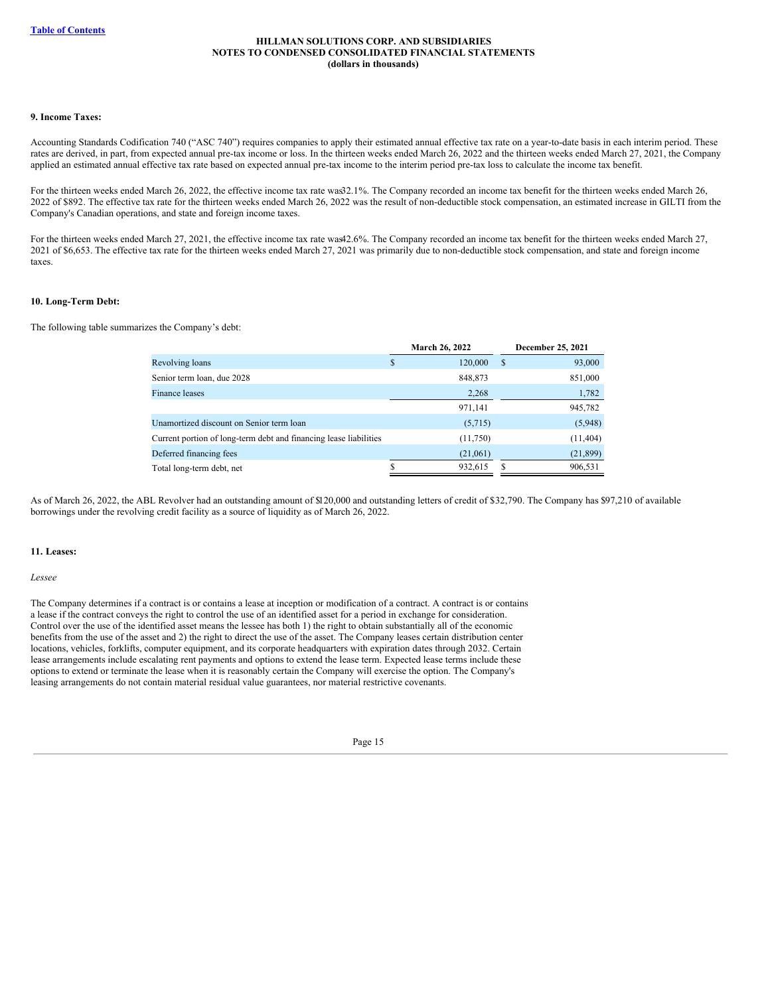## **9. Income Taxes:**

Accounting Standards Codification 740 ("ASC 740") requires companies to apply their estimated annual effective tax rate on a year-to-date basis in each interim period. These rates are derived, in part, from expected annual pre-tax income or loss. In the thirteen weeks ended March 26, 2022 and the thirteen weeks ended March 27, 2021, the Company applied an estimated annual effective tax rate based on expected annual pre-tax income to the interim period pre-tax loss to calculate the income tax benefit.

For the thirteen weeks ended March 26, 2022, the effective income tax rate was32.1%. The Company recorded an income tax benefit for the thirteen weeks ended March 26, 2022 of \$892. The effective tax rate for the thirteen weeks ended March 26, 2022 was the result of non-deductible stock compensation, an estimated increase in GILTI from the Company's Canadian operations, and state and foreign income taxes.

For the thirteen weeks ended March 27, 2021, the effective income tax rate was42.6%. The Company recorded an income tax benefit for the thirteen weeks ended March 27, 2021 of \$6,653. The effective tax rate for the thirteen weeks ended March 27, 2021 was primarily due to non-deductible stock compensation, and state and foreign income taxes.

## **10. Long-Term Debt:**

The following table summarizes the Company's debt:

|                                                                   | March 26, 2022 |    | December 25, 2021 |
|-------------------------------------------------------------------|----------------|----|-------------------|
| Revolving loans                                                   | \$<br>120,000  | \$ | 93,000            |
| Senior term loan, due 2028                                        | 848,873        |    | 851,000           |
| Finance leases                                                    | 2,268          |    | 1,782             |
|                                                                   | 971,141        |    | 945,782           |
| Unamortized discount on Senior term loan                          | (5,715)        |    | (5,948)           |
| Current portion of long-term debt and financing lease liabilities | (11,750)       |    | (11, 404)         |
| Deferred financing fees                                           | (21,061)       |    | (21, 899)         |
| Total long-term debt, net                                         | 932,615        | S  | 906,531           |

As of March 26, 2022, the ABL Revolver had an outstanding amount of \$120,000 and outstanding letters of credit of \$32,790. The Company has \$97,210 of available borrowings under the revolving credit facility as a source of liquidity as of March 26, 2022.

## **11. Leases:**

*Lessee*

The Company determines if a contract is or contains a lease at inception or modification of a contract. A contract is or contains a lease if the contract conveys the right to control the use of an identified asset for a period in exchange for consideration. Control over the use of the identified asset means the lessee has both 1) the right to obtain substantially all of the economic benefits from the use of the asset and 2) the right to direct the use of the asset. The Company leases certain distribution center locations, vehicles, forklifts, computer equipment, and its corporate headquarters with expiration dates through 2032. Certain lease arrangements include escalating rent payments and options to extend the lease term. Expected lease terms include these options to extend or terminate the lease when it is reasonably certain the Company will exercise the option. The Company's leasing arrangements do not contain material residual value guarantees, nor material restrictive covenants.

| г<br>۰. |  |
|---------|--|
|         |  |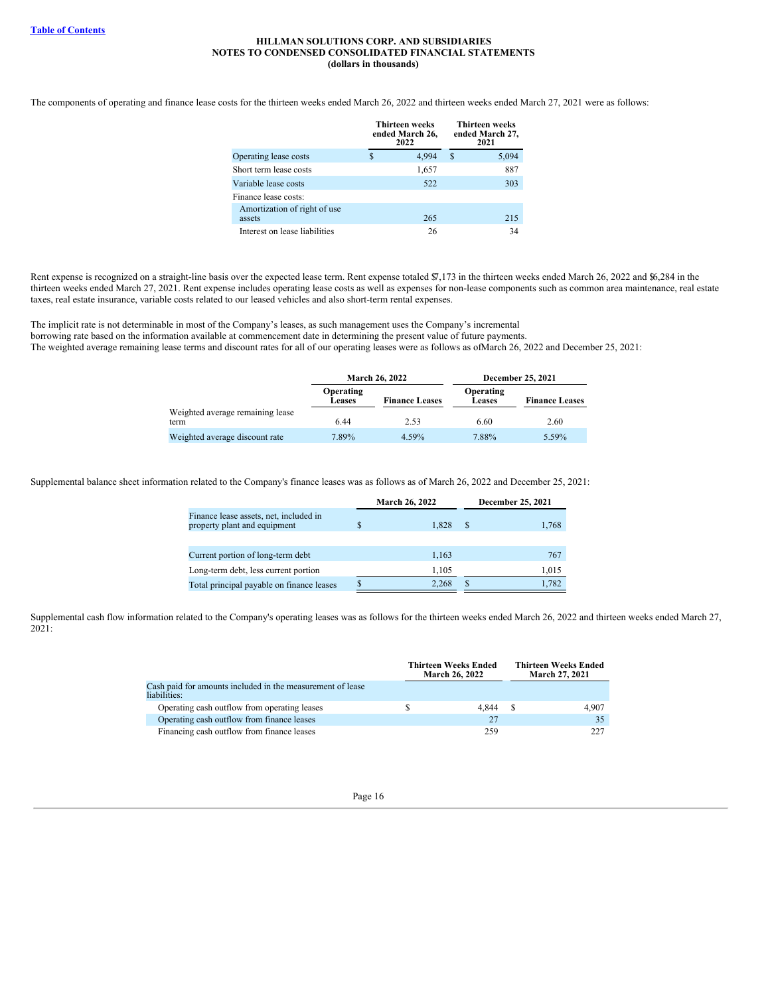The components of operating and finance lease costs for the thirteen weeks ended March 26, 2022 and thirteen weeks ended March 27, 2021 were as follows:

|                               |   | <b>Thirteen weeks</b><br>ended March 26,<br>2022 |   | <b>Thirteen weeks</b><br>ended March 27,<br>2021 |
|-------------------------------|---|--------------------------------------------------|---|--------------------------------------------------|
| Operating lease costs         | S | 4.994                                            | S | 5.094                                            |
| Short term lease costs        |   | 1,657                                            |   | 887                                              |
| Variable lease costs          |   | 522                                              |   | 303                                              |
| Finance lease costs:          |   |                                                  |   |                                                  |
| Amortization of right of use  |   |                                                  |   |                                                  |
| assets                        |   | 265                                              |   | 215                                              |
| Interest on lease liabilities |   | 26                                               |   | 34                                               |

Rent expense is recognized on a straight-line basis over the expected lease term. Rent expense totaled \$7,173 in the thirteen weeks ended March 26, 2022 and \$6,284 in the thirteen weeks ended March 27, 2021. Rent expense includes operating lease costs as well as expenses for non-lease components such as common area maintenance, real estate taxes, real estate insurance, variable costs related to our leased vehicles and also short-term rental expenses.

The implicit rate is not determinable in most of the Company's leases, as such management uses the Company's incremental borrowing rate based on the information available at commencement date in determining the present value of future payments. The weighted average remaining lease terms and discount rates for all of our operating leases were as follows as ofMarch 26, 2022 and December 25, 2021:

|                                          |                     | <b>March 26, 2022</b> | December 25, 2021          |                       |  |  |
|------------------------------------------|---------------------|-----------------------|----------------------------|-----------------------|--|--|
|                                          | Operating<br>Leases | <b>Finance Leases</b> | Operating<br><b>Leases</b> | <b>Finance Leases</b> |  |  |
| Weighted average remaining lease<br>term | 6.44                | 2.53                  | 6.60                       | 2.60                  |  |  |
| Weighted average discount rate           | 7.89%               | 4.59%                 | 7.88%                      | 5.59%                 |  |  |

Supplemental balance sheet information related to the Company's finance leases was as follows as of March 26, 2022 and December 25, 2021:

|                                                                        | <b>March 26, 2022</b> |       |   | December 25, 2021 |
|------------------------------------------------------------------------|-----------------------|-------|---|-------------------|
| Finance lease assets, net, included in<br>property plant and equipment |                       | 1.828 | S | 1,768             |
|                                                                        |                       |       |   |                   |
| Current portion of long-term debt                                      |                       | 1,163 |   | 767               |
| Long-term debt, less current portion                                   |                       | 1.105 |   | 1,015             |
| Total principal payable on finance leases                              |                       | 2.268 |   | 1,782             |

Supplemental cash flow information related to the Company's operating leases was as follows for the thirteen weeks ended March 26, 2022 and thirteen weeks ended March 27, 2021:

|                                                                            |   | <b>Thirteen Weeks Ended</b><br><b>March 26, 2022</b> |     | <b>Thirteen Weeks Ended</b><br>March 27, 2021 |  |  |
|----------------------------------------------------------------------------|---|------------------------------------------------------|-----|-----------------------------------------------|--|--|
| Cash paid for amounts included in the measurement of lease<br>liabilities: |   |                                                      |     |                                               |  |  |
| Operating cash outflow from operating leases                               | S | 4.844                                                | - S | 4.907                                         |  |  |
| Operating cash outflow from finance leases                                 |   | 27                                                   |     | 35                                            |  |  |
| Financing cash outflow from finance leases                                 |   | 259                                                  |     | 227                                           |  |  |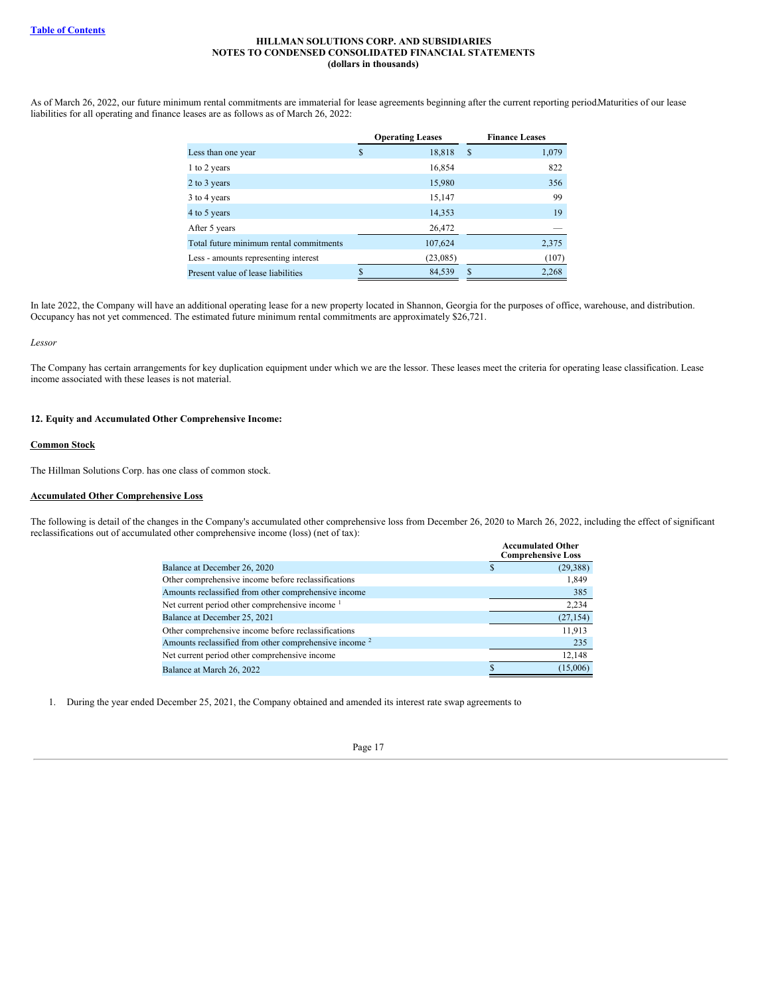As of March 26, 2022, our future minimum rental commitments are immaterial for lease agreements beginning after the current reporting period.Maturities of our lease liabilities for all operating and finance leases are as follows as of March 26, 2022:

|                                         | <b>Operating Leases</b> |    | <b>Finance Leases</b> |
|-----------------------------------------|-------------------------|----|-----------------------|
| Less than one year                      | \$<br>18,818            | S  | 1,079                 |
| 1 to 2 years                            | 16,854                  |    | 822                   |
| 2 to 3 years                            | 15,980                  |    | 356                   |
| 3 to 4 years                            | 15,147                  |    | 99                    |
| 4 to 5 years                            | 14,353                  |    | 19                    |
| After 5 years                           | 26,472                  |    |                       |
| Total future minimum rental commitments | 107,624                 |    | 2,375                 |
| Less - amounts representing interest    | (23,085)                |    | (107)                 |
| Present value of lease liabilities      | 84,539                  | \$ | 2,268                 |

In late 2022, the Company will have an additional operating lease for a new property located in Shannon, Georgia for the purposes of office, warehouse, and distribution. Occupancy has not yet commenced. The estimated future minimum rental commitments are approximately \$26,721.

#### *Lessor*

The Company has certain arrangements for key duplication equipment under which we are the lessor. These leases meet the criteria for operating lease classification. Lease income associated with these leases is not material.

#### **12. Equity and Accumulated Other Comprehensive Income:**

#### **Common Stock**

The Hillman Solutions Corp. has one class of common stock.

## **Accumulated Other Comprehensive Loss**

The following is detail of the changes in the Company's accumulated other comprehensive loss from December 26, 2020 to March 26, 2022, including the effect of significant reclassifications out of accumulated other comprehensive income (loss) (net of tax):

|                                                                   | <b>Accumulated Other</b><br><b>Comprehensive Loss</b> |     |
|-------------------------------------------------------------------|-------------------------------------------------------|-----|
| Balance at December 26, 2020                                      | (29, 388)                                             |     |
| Other comprehensive income before reclassifications               | 1,849                                                 |     |
| Amounts reclassified from other comprehensive income              |                                                       | 385 |
| Net current period other comprehensive income <sup>1</sup>        | 2,234                                                 |     |
| Balance at December 25, 2021                                      | (27, 154)                                             |     |
| Other comprehensive income before reclassifications               | 11.913                                                |     |
| Amounts reclassified from other comprehensive income <sup>2</sup> | 235                                                   |     |
| Net current period other comprehensive income                     | 12,148                                                |     |
| Balance at March 26, 2022                                         | (15,006)                                              |     |

1. During the year ended December 25, 2021, the Company obtained and amended its interest rate swap agreements to

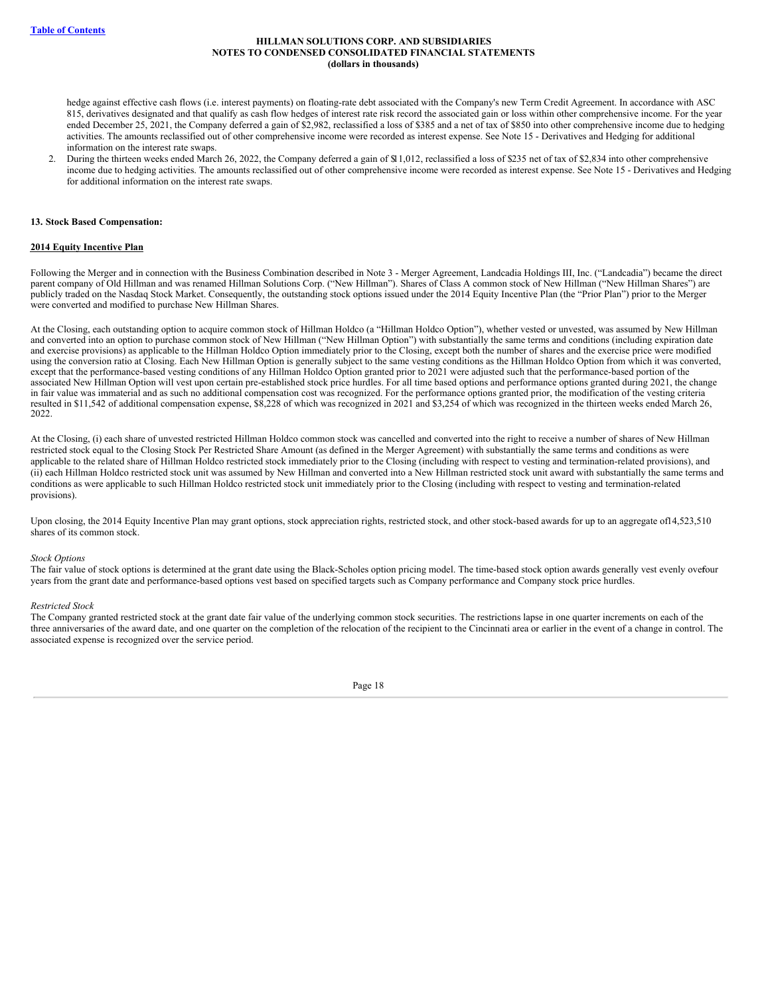hedge against effective cash flows (i.e. interest payments) on floating-rate debt associated with the Company's new Term Credit Agreement. In accordance with ASC 815, derivatives designated and that qualify as cash flow hedges of interest rate risk record the associated gain or loss within other comprehensive income. For the year ended December 25, 2021, the Company deferred a gain of \$2,982, reclassified a loss of \$385 and a net of tax of \$850 into other comprehensive income due to hedging activities. The amounts reclassified out of other comprehensive income were recorded as interest expense. See Note 15 - Derivatives and Hedging for additional information on the interest rate swaps.

2. During the thirteen weeks ended March 26, 2022, the Company deferred a gain of \$11,012, reclassified a loss of \$235 net of tax of \$2,834 into other comprehensive income due to hedging activities. The amounts reclassified out of other comprehensive income were recorded as interest expense. See Note 15 - Derivatives and Hedging for additional information on the interest rate swaps.

#### **13. Stock Based Compensation:**

#### **2014 Equity Incentive Plan**

Following the Merger and in connection with the Business Combination described in Note 3 - Merger Agreement, Landcadia Holdings III, Inc. ("Landcadia") became the direct parent company of Old Hillman and was renamed Hillman Solutions Corp. ("New Hillman"). Shares of Class A common stock of New Hillman ("New Hillman Shares") are publicly traded on the Nasdaq Stock Market. Consequently, the outstanding stock options issued under the 2014 Equity Incentive Plan (the "Prior Plan") prior to the Merger were converted and modified to purchase New Hillman Shares.

At the Closing, each outstanding option to acquire common stock of Hillman Holdco (a "Hillman Holdco Option"), whether vested or unvested, was assumed by New Hillman and converted into an option to purchase common stock of New Hillman ("New Hillman Option") with substantially the same terms and conditions (including expiration date and exercise provisions) as applicable to the Hillman Holdco Option immediately prior to the Closing, except both the number of shares and the exercise price were modified using the conversion ratio at Closing. Each New Hillman Option is generally subject to the same vesting conditions as the Hillman Holdco Option from which it was converted, except that the performance-based vesting conditions of any Hillman Holdco Option granted prior to 2021 were adjusted such that the performance-based portion of the associated New Hillman Option will vest upon certain pre-established stock price hurdles. For all time based options and performance options granted during 2021, the change in fair value was immaterial and as such no additional compensation cost was recognized. For the performance options granted prior, the modification of the vesting criteria resulted in \$11,542 of additional compensation expense, \$8,228 of which was recognized in 2021 and \$3,254 of which was recognized in the thirteen weeks ended March 26, 2022.

At the Closing, (i) each share of unvested restricted Hillman Holdco common stock was cancelled and converted into the right to receive a number of shares of New Hillman restricted stock equal to the Closing Stock Per Restricted Share Amount (as defined in the Merger Agreement) with substantially the same terms and conditions as were applicable to the related share of Hillman Holdco restricted stock immediately prior to the Closing (including with respect to vesting and termination-related provisions), and (ii) each Hillman Holdco restricted stock unit was assumed by New Hillman and converted into a New Hillman restricted stock unit award with substantially the same terms and conditions as were applicable to such Hillman Holdco restricted stock unit immediately prior to the Closing (including with respect to vesting and termination-related provisions).

Upon closing, the 2014 Equity Incentive Plan may grant options, stock appreciation rights, restricted stock, and other stock-based awards for up to an aggregate of 14,523,510 shares of its common stock.

#### *Stock Options*

The fair value of stock options is determined at the grant date using the Black-Scholes option pricing model. The time-based stock option awards generally vest evenly ovefour years from the grant date and performance-based options vest based on specified targets such as Company performance and Company stock price hurdles.

#### *Restricted Stock*

The Company granted restricted stock at the grant date fair value of the underlying common stock securities. The restrictions lapse in one quarter increments on each of the three anniversaries of the award date, and one quarter on the completion of the relocation of the recipient to the Cincinnati area or earlier in the event of a change in control. The associated expense is recognized over the service period.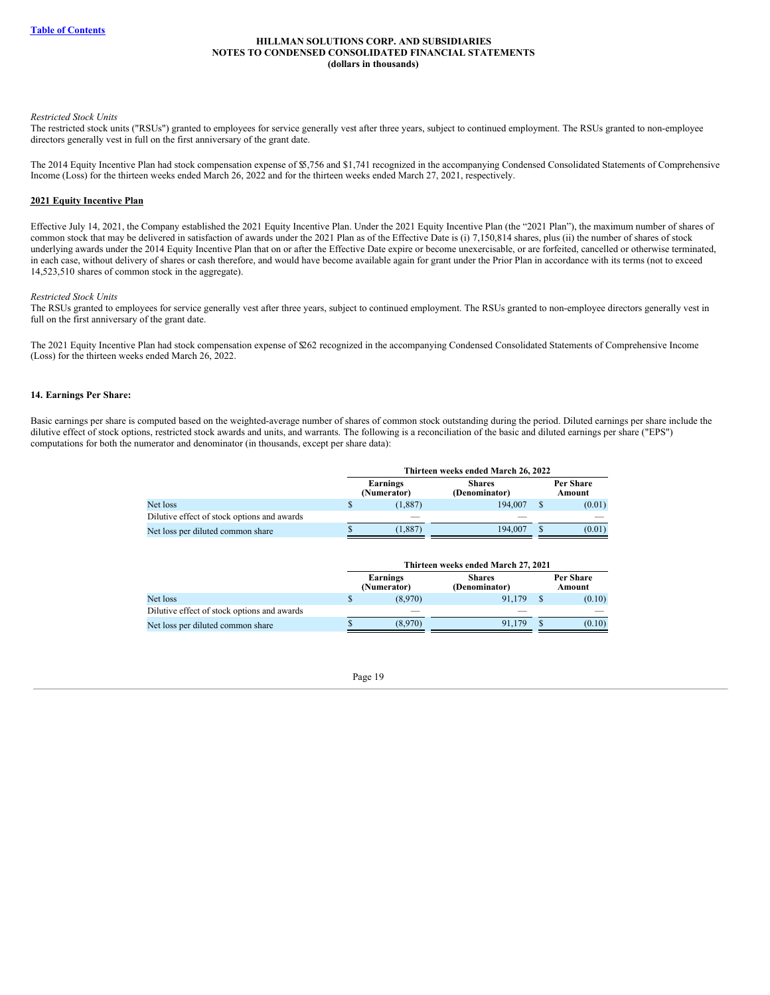#### *Restricted Stock Units*

The restricted stock units ("RSUs") granted to employees for service generally vest after three years, subject to continued employment. The RSUs granted to non-employee directors generally vest in full on the first anniversary of the grant date.

The 2014 Equity Incentive Plan had stock compensation expense of \$5,756 and \$1,741 recognized in the accompanying Condensed Consolidated Statements of Comprehensive Income (Loss) for the thirteen weeks ended March 26, 2022 and for the thirteen weeks ended March 27, 2021, respectively.

#### **2021 Equity Incentive Plan**

Effective July 14, 2021, the Company established the 2021 Equity Incentive Plan. Under the 2021 Equity Incentive Plan (the "2021 Plan"), the maximum number of shares of common stock that may be delivered in satisfaction of awards under the 2021 Plan as of the Effective Date is (i) 7,150,814 shares, plus (ii) the number of shares of stock underlying awards under the 2014 Equity Incentive Plan that on or after the Effective Date expire or become unexercisable, or are forfeited, cancelled or otherwise terminated, in each case, without delivery of shares or cash therefore, and would have become available again for grant under the Prior Plan in accordance with its terms (not to exceed 14,523,510 shares of common stock in the aggregate).

#### *Restricted Stock Units*

The RSUs granted to employees for service generally vest after three years, subject to continued employment. The RSUs granted to non-employee directors generally vest in full on the first anniversary of the grant date.

The 2021 Equity Incentive Plan had stock compensation expense of \$262 recognized in the accompanying Condensed Consolidated Statements of Comprehensive Income (Loss) for the thirteen weeks ended March 26, 2022.

## **14. Earnings Per Share:**

Basic earnings per share is computed based on the weighted-average number of shares of common stock outstanding during the period. Diluted earnings per share include the dilutive effect of stock options, restricted stock awards and units, and warrants. The following is a reconciliation of the basic and diluted earnings per share ("EPS") computations for both the numerator and denominator (in thousands, except per share data):

|                                             | Thirteen weeks ended March 26, 2022 |                         |                                |                     |        |  |  |  |
|---------------------------------------------|-------------------------------------|-------------------------|--------------------------------|---------------------|--------|--|--|--|
|                                             |                                     | Earnings<br>(Numerator) | <b>Shares</b><br>(Denominator) | Per Share<br>Amount |        |  |  |  |
| Net loss                                    |                                     | (1,887)                 | 194.007                        |                     | (0.01) |  |  |  |
| Dilutive effect of stock options and awards |                                     |                         |                                |                     |        |  |  |  |
| Net loss per diluted common share           |                                     | (1,887)                 | 194,007                        |                     | (0.01) |  |  |  |

|                                             |                         | Thirteen weeks ended March 27, 2021 |    |                     |
|---------------------------------------------|-------------------------|-------------------------------------|----|---------------------|
|                                             | Earnings<br>(Numerator) | <b>Shares</b><br>(Denominator)      |    | Per Share<br>Amount |
| Net loss                                    | (8.970)                 | 91.179                              | -S | (0.10)              |
| Dilutive effect of stock options and awards |                         |                                     |    |                     |
| Net loss per diluted common share           | (8,970)                 | 91.179                              |    | (0.10)              |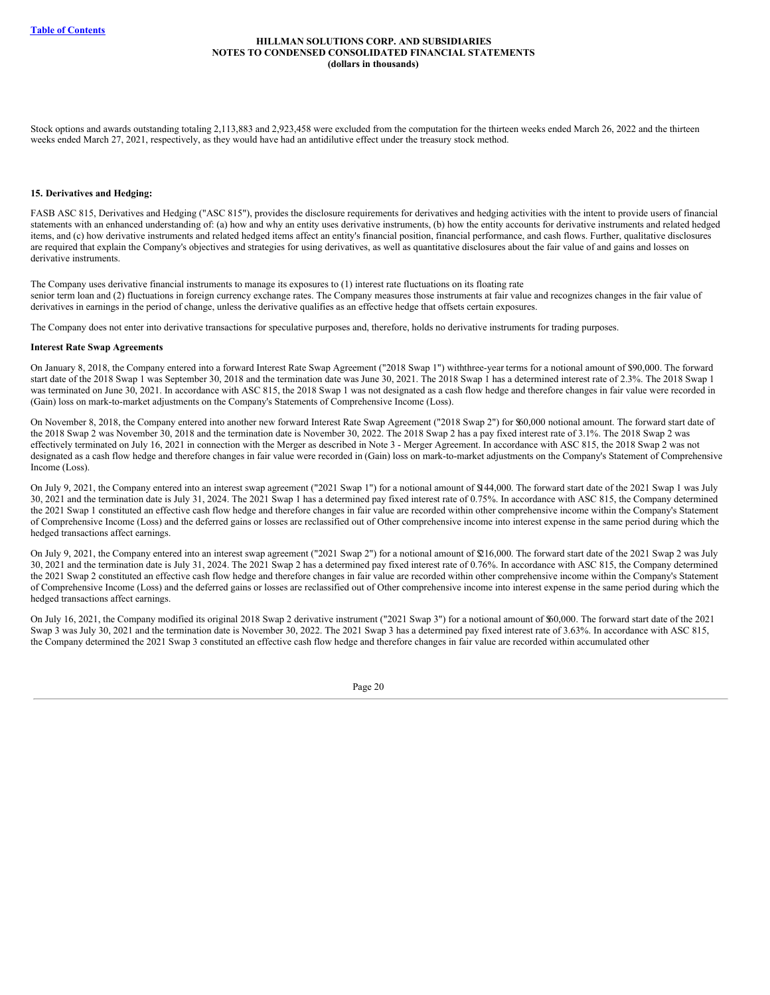Stock options and awards outstanding totaling 2,113,883 and 2,923,458 were excluded from the computation for the thirteen weeks ended March 26, 2022 and the thirteen weeks ended March 27, 2021, respectively, as they would have had an antidilutive effect under the treasury stock method.

#### **15. Derivatives and Hedging:**

FASB ASC 815, Derivatives and Hedging ("ASC 815"), provides the disclosure requirements for derivatives and hedging activities with the intent to provide users of financial statements with an enhanced understanding of: (a) how and why an entity uses derivative instruments, (b) how the entity accounts for derivative instruments and related hedged items, and (c) how derivative instruments and related hedged items affect an entity's financial position, financial performance, and cash flows. Further, qualitative disclosures are required that explain the Company's objectives and strategies for using derivatives, as well as quantitative disclosures about the fair value of and gains and losses on derivative instruments.

The Company uses derivative financial instruments to manage its exposures to (1) interest rate fluctuations on its floating rate senior term loan and (2) fluctuations in foreign currency exchange rates. The Company measures those instruments at fair value and recognizes changes in the fair value of derivatives in earnings in the period of change, unless the derivative qualifies as an effective hedge that offsets certain exposures.

The Company does not enter into derivative transactions for speculative purposes and, therefore, holds no derivative instruments for trading purposes.

#### **Interest Rate Swap Agreements**

On January 8, 2018, the Company entered into a forward Interest Rate Swap Agreement ("2018 Swap 1") withthree-year terms for a notional amount of \$90,000. The forward start date of the 2018 Swap 1 was September 30, 2018 and the termination date was June 30, 2021. The 2018 Swap 1 has a determined interest rate of 2.3%. The 2018 Swap 1 was terminated on June 30, 2021. In accordance with ASC 815, the 2018 Swap 1 was not designated as a cash flow hedge and therefore changes in fair value were recorded in (Gain) loss on mark-to-market adjustments on the Company's Statements of Comprehensive Income (Loss).

On November 8, 2018, the Company entered into another new forward Interest Rate Swap Agreement ("2018 Swap 2") for \$60,000 notional amount. The forward start date of the 2018 Swap 2 was November 30, 2018 and the termination date is November 30, 2022. The 2018 Swap 2 has a pay fixed interest rate of 3.1%. The 2018 Swap 2 was effectively terminated on July 16, 2021 in connection with the Merger as described in Note 3 - Merger Agreement. In accordance with ASC 815, the 2018 Swap 2 was not designated as a cash flow hedge and therefore changes in fair value were recorded in (Gain) loss on mark-to-market adjustments on the Company's Statement of Comprehensive Income (Loss).

On July 9, 2021, the Company entered into an interest swap agreement ("2021 Swap 1") for a notional amount of \$144,000. The forward start date of the 2021 Swap 1 was July 30, 2021 and the termination date is July 31, 2024. The 2021 Swap 1 has a determined pay fixed interest rate of 0.75%. In accordance with ASC 815, the Company determined the 2021 Swap 1 constituted an effective cash flow hedge and therefore changes in fair value are recorded within other comprehensive income within the Company's Statement of Comprehensive Income (Loss) and the deferred gains or losses are reclassified out of Other comprehensive income into interest expense in the same period during which the hedged transactions affect earnings.

On July 9, 2021, the Company entered into an interest swap agreement ("2021 Swap 2") for a notional amount of \$216,000. The forward start date of the 2021 Swap 2 was July 30, 2021 and the termination date is July 31, 2024. The 2021 Swap 2 has a determined pay fixed interest rate of 0.76%. In accordance with ASC 815, the Company determined the 2021 Swap 2 constituted an effective cash flow hedge and therefore changes in fair value are recorded within other comprehensive income within the Company's Statement of Comprehensive Income (Loss) and the deferred gains or losses are reclassified out of Other comprehensive income into interest expense in the same period during which the hedged transactions affect earnings.

On July 16, 2021, the Company modified its original 2018 Swap 2 derivative instrument ("2021 Swap 3") for a notional amount of \$60,000. The forward start date of the 2021 Swap 3 was July 30, 2021 and the termination date is November 30, 2022. The 2021 Swap 3 has a determined pay fixed interest rate of 3.63%. In accordance with ASC 815, the Company determined the 2021 Swap 3 constituted an effective cash flow hedge and therefore changes in fair value are recorded within accumulated other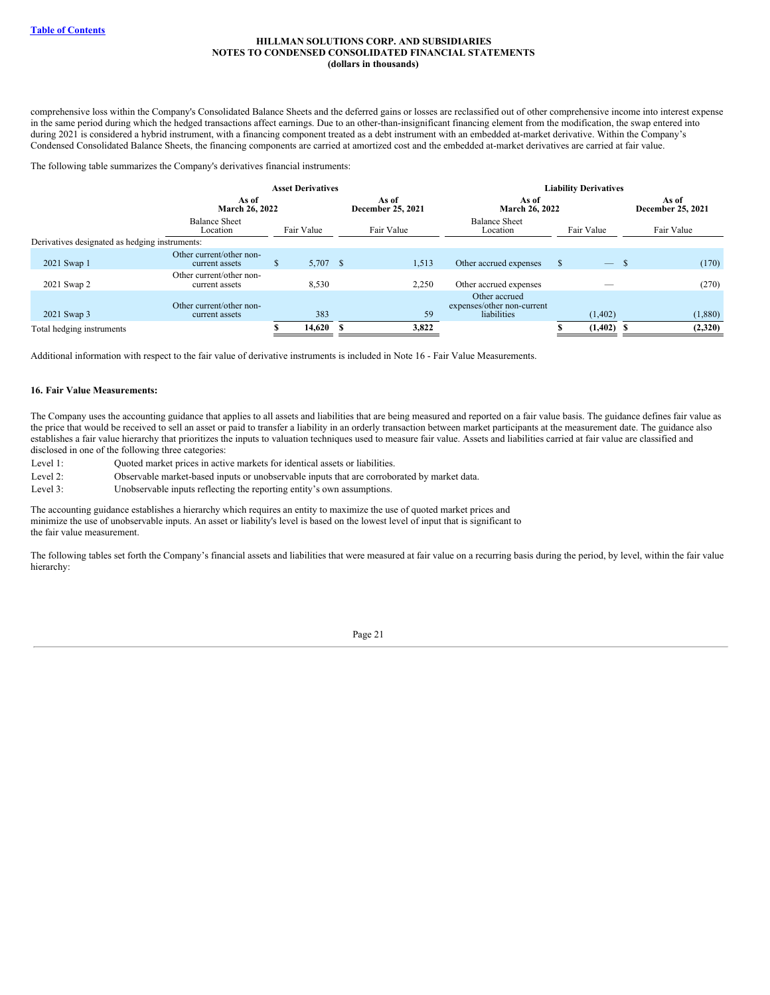comprehensive loss within the Company's Consolidated Balance Sheets and the deferred gains or losses are reclassified out of other comprehensive income into interest expense in the same period during which the hedged transactions affect earnings. Due to an other-than-insignificant financing element from the modification, the swap entered into during 2021 is considered a hybrid instrument, with a financing component treated as a debt instrument with an embedded at-market derivative. Within the Company's Condensed Consolidated Balance Sheets, the financing components are carried at amortized cost and the embedded at-market derivatives are carried at fair value.

The following table summarizes the Company's derivatives financial instruments:

|                                                |                                            |                | <b>Asset Derivatives</b> |  |                            | <b>Liability Derivatives</b>                               |                            |              |    |            |  |            |
|------------------------------------------------|--------------------------------------------|----------------|--------------------------|--|----------------------------|------------------------------------------------------------|----------------------------|--------------|----|------------|--|------------|
|                                                | As of                                      | March 26, 2022 |                          |  | As of<br>December 25, 2021 | As of<br>March 26, 2022                                    | As of<br>December 25, 2021 |              |    |            |  |            |
|                                                | <b>Balance Sheet</b><br>Location           |                | Fair Value               |  | Fair Value                 | <b>Balance Sheet</b><br>Location                           |                            |              |    | Fair Value |  | Fair Value |
| Derivatives designated as hedging instruments: |                                            |                |                          |  |                            |                                                            |                            |              |    |            |  |            |
| 2021 Swap 1                                    | Other current/other non-<br>current assets | S              | 5,707 \$                 |  | 1,513                      | Other accrued expenses                                     | S                          | $\equiv$     | -S | (170)      |  |            |
| 2021 Swap 2                                    | Other current/other non-<br>current assets |                | 8,530                    |  | 2,250                      | Other accrued expenses                                     |                            |              |    | (270)      |  |            |
| 2021 Swap 3                                    | Other current/other non-<br>current assets |                | 383                      |  | 59                         | Other accrued<br>expenses/other non-current<br>liabilities |                            | (1,402)      |    | (1,880)    |  |            |
| Total hedging instruments                      |                                            |                | 14,620                   |  | 3,822                      |                                                            |                            | $(1,402)$ \$ |    | (2,320)    |  |            |

Additional information with respect to the fair value of derivative instruments is included in Note 16 - Fair Value Measurements.

#### **16. Fair Value Measurements:**

The Company uses the accounting guidance that applies to all assets and liabilities that are being measured and reported on a fair value basis. The guidance defines fair value as the price that would be received to sell an asset or paid to transfer a liability in an orderly transaction between market participants at the measurement date. The guidance also establishes a fair value hierarchy that prioritizes the inputs to valuation techniques used to measure fair value. Assets and liabilities carried at fair value are classified and disclosed in one of the following three categories:

| Level 1:                | Quoted market prices in active markets for identical assets or liabilities.        |
|-------------------------|------------------------------------------------------------------------------------|
| $\Gamma$ and $\Omega$ . | Okoawich la weadrat hoos diwarts an wedenamedels investo that are assumbanted by m |

Level 2: Observable market-based inputs or unobservable inputs that are corroborated by market data.

Level 3: Unobservable inputs reflecting the reporting entity's own assumptions.

The accounting guidance establishes a hierarchy which requires an entity to maximize the use of quoted market prices and minimize the use of unobservable inputs. An asset or liability's level is based on the lowest level of input that is significant to the fair value measurement.

The following tables set forth the Company's financial assets and liabilities that were measured at fair value on a recurring basis during the period, by level, within the fair value hierarchy:

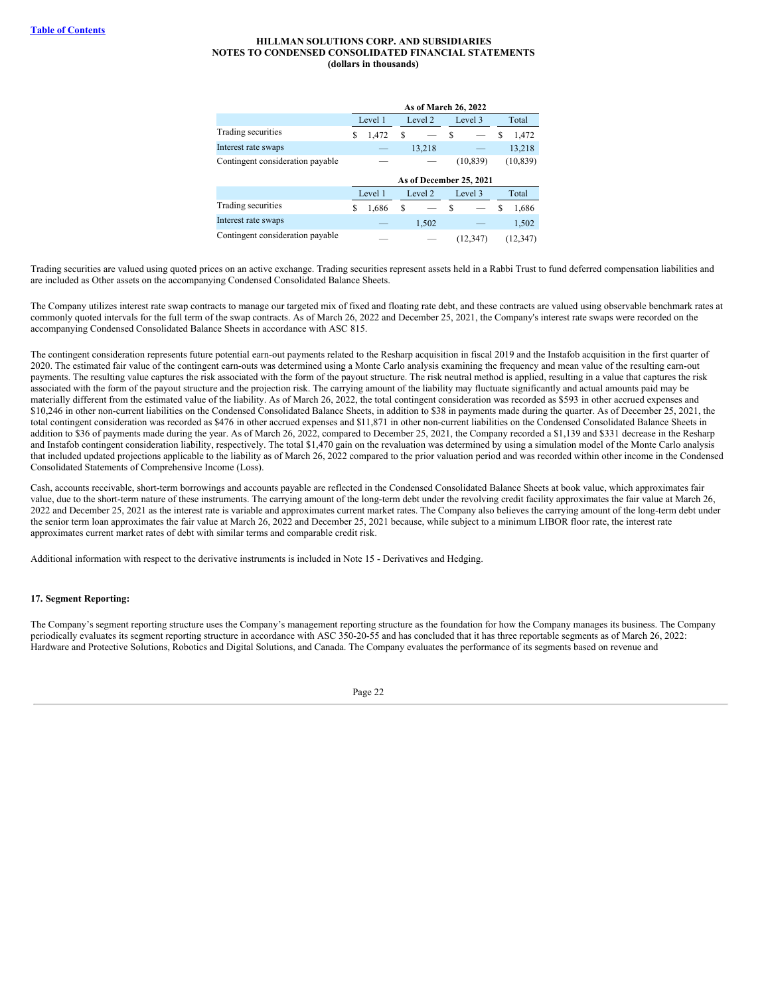|                                  |   | As of March 26, 2022 |   |                         |   |           |   |           |  |
|----------------------------------|---|----------------------|---|-------------------------|---|-----------|---|-----------|--|
|                                  |   | Level 1              |   | Level 2                 |   | Level 3   |   | Total     |  |
| Trading securities               | S | 1,472                | S |                         | S |           | S | 1,472     |  |
| Interest rate swaps              |   |                      |   | 13,218                  |   |           |   | 13,218    |  |
| Contingent consideration payable |   |                      |   |                         |   | (10, 839) |   | (10, 839) |  |
|                                  |   |                      |   | As of December 25, 2021 |   |           |   |           |  |
|                                  |   | Level 1              |   | Level 2                 |   | Level 3   |   | Total     |  |
| Trading securities               | S | 1,686                | S |                         | S |           | S | 1,686     |  |
| Interest rate swaps              |   |                      |   | 1,502                   |   |           |   | 1,502     |  |
| Contingent consideration payable |   |                      |   |                         |   | (12.347)  |   | (12.347)  |  |

Trading securities are valued using quoted prices on an active exchange. Trading securities represent assets held in a Rabbi Trust to fund deferred compensation liabilities and are included as Other assets on the accompanying Condensed Consolidated Balance Sheets.

The Company utilizes interest rate swap contracts to manage our targeted mix of fixed and floating rate debt, and these contracts are valued using observable benchmark rates at commonly quoted intervals for the full term of the swap contracts. As of March 26, 2022 and December 25, 2021, the Company's interest rate swaps were recorded on the accompanying Condensed Consolidated Balance Sheets in accordance with ASC 815.

The contingent consideration represents future potential earn-out payments related to the Resharp acquisition in fiscal 2019 and the Instafob acquisition in the first quarter of 2020. The estimated fair value of the contingent earn-outs was determined using a Monte Carlo analysis examining the frequency and mean value of the resulting earn-out payments. The resulting value captures the risk associated with the form of the payout structure. The risk neutral method is applied, resulting in a value that captures the risk associated with the form of the payout structure and the projection risk. The carrying amount of the liability may fluctuate significantly and actual amounts paid may be materially different from the estimated value of the liability. As of March 26, 2022, the total contingent consideration was recorded as \$593 in other accrued expenses and \$10,246 in other non-current liabilities on the Condensed Consolidated Balance Sheets, in addition to \$38 in payments made during the quarter. As of December 25, 2021, the total contingent consideration was recorded as \$476 in other accrued expenses and \$11,871 in other non-current liabilities on the Condensed Consolidated Balance Sheets in addition to \$36 of payments made during the year. As of March 26, 2022, compared to December 25, 2021, the Company recorded a \$1,139 and \$331 decrease in the Resharp and Instafob contingent consideration liability, respectively. The total \$1,470 gain on the revaluation was determined by using a simulation model of the Monte Carlo analysis that included updated projections applicable to the liability as of March 26, 2022 compared to the prior valuation period and was recorded within other income in the Condensed Consolidated Statements of Comprehensive Income (Loss).

Cash, accounts receivable, short-term borrowings and accounts payable are reflected in the Condensed Consolidated Balance Sheets at book value, which approximates fair value, due to the short-term nature of these instruments. The carrying amount of the long-term debt under the revolving credit facility approximates the fair value at March 26, 2022 and December 25, 2021 as the interest rate is variable and approximates current market rates. The Company also believes the carrying amount of the long-term debt under the senior term loan approximates the fair value at March 26, 2022 and December 25, 2021 because, while subject to a minimum LIBOR floor rate, the interest rate approximates current market rates of debt with similar terms and comparable credit risk.

Additional information with respect to the derivative instruments is included in Note 15 - Derivatives and Hedging.

#### **17. Segment Reporting:**

The Company's segment reporting structure uses the Company's management reporting structure as the foundation for how the Company manages its business. The Company periodically evaluates its segment reporting structure in accordance with ASC 350-20-55 and has concluded that it has three reportable segments as of March 26, 2022: Hardware and Protective Solutions, Robotics and Digital Solutions, and Canada. The Company evaluates the performance of its segments based on revenue and

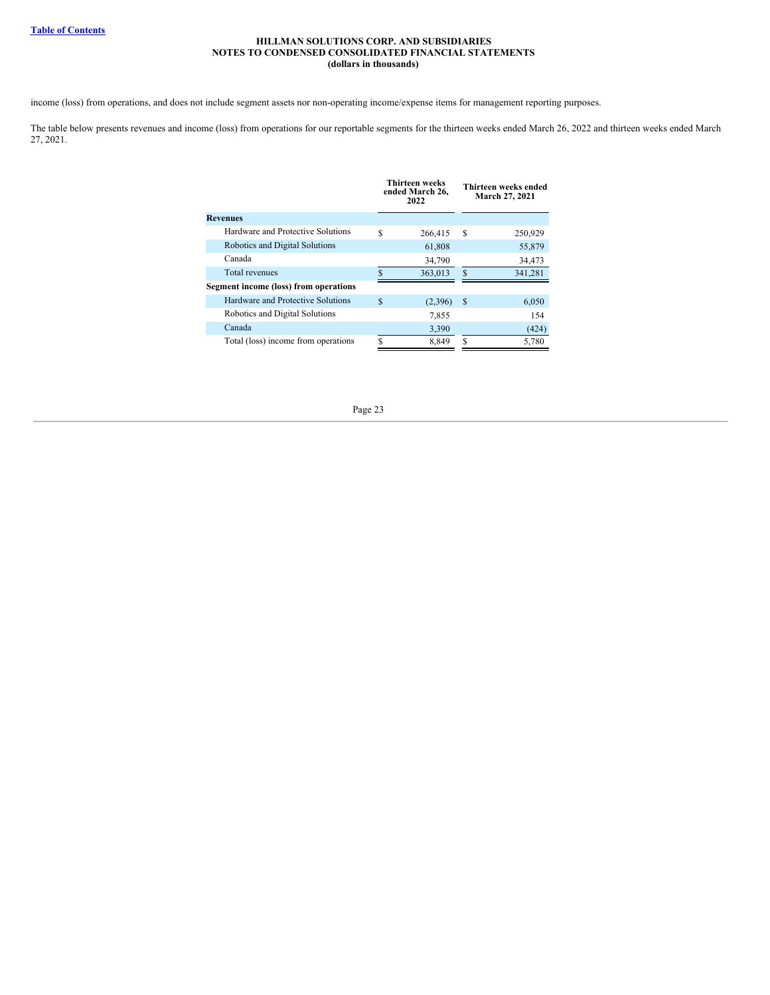income (loss) from operations, and does not include segment assets nor non-operating income/expense items for management reporting purposes.

<span id="page-22-0"></span>The table below presents revenues and income (loss) from operations for our reportable segments for the thirteen weeks ended March 26, 2022 and thirteen weeks ended March 27, 2021.

|                                       |   | Thirteen weeks<br>ended March 26,<br>2022 |   | Thirteen weeks ended<br>March 27, 2021 |
|---------------------------------------|---|-------------------------------------------|---|----------------------------------------|
| <b>Revenues</b>                       |   |                                           |   |                                        |
| Hardware and Protective Solutions     | S | 266,415                                   | S | 250,929                                |
| Robotics and Digital Solutions        |   | 61,808                                    |   | 55,879                                 |
| Canada                                |   | 34,790                                    |   | 34,473                                 |
| Total revenues                        | S | 363,013                                   | S | 341,281                                |
| Segment income (loss) from operations |   |                                           |   |                                        |
| Hardware and Protective Solutions     | S | (2,396)                                   | S | 6,050                                  |
| Robotics and Digital Solutions        |   | 7,855                                     |   | 154                                    |
| Canada                                |   | 3,390                                     |   | (424)                                  |
| Total (loss) income from operations   | ς | 8,849                                     | S | 5,780                                  |

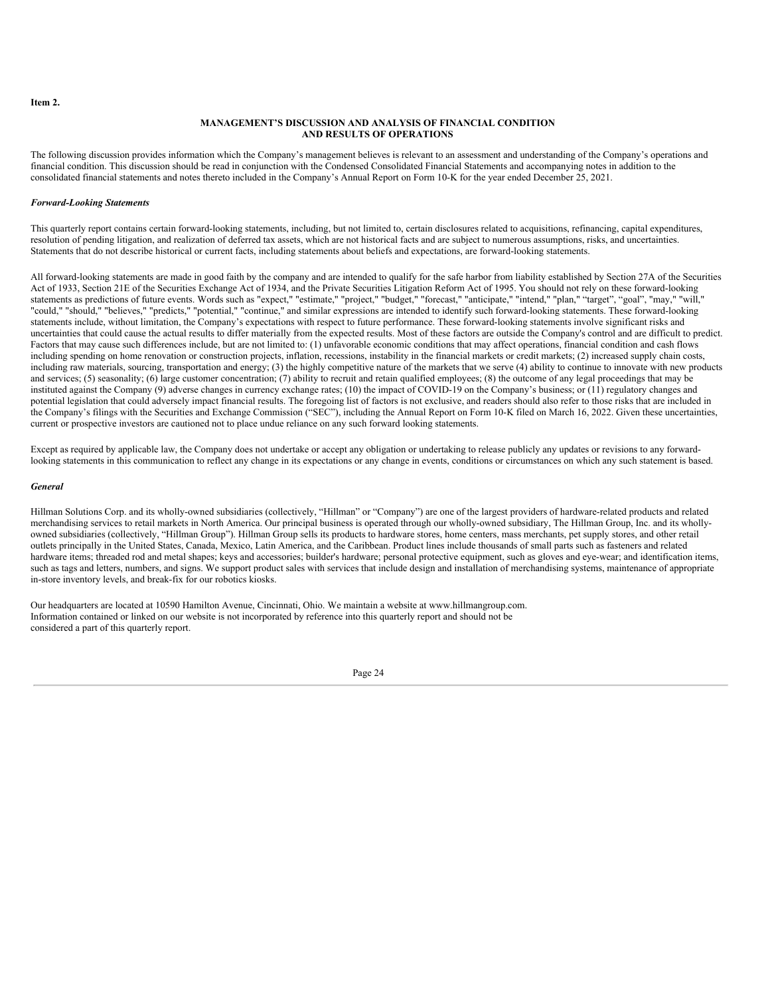#### **Item 2.**

## **MANAGEMENT'S DISCUSSION AND ANALYSIS OF FINANCIAL CONDITION AND RESULTS OF OPERATIONS**

The following discussion provides information which the Company's management believes is relevant to an assessment and understanding of the Company's operations and financial condition. This discussion should be read in conjunction with the Condensed Consolidated Financial Statements and accompanying notes in addition to the consolidated financial statements and notes thereto included in the Company's Annual Report on Form 10-K for the year ended December 25, 2021.

## *Forward-Looking Statements*

This quarterly report contains certain forward-looking statements, including, but not limited to, certain disclosures related to acquisitions, refinancing, capital expenditures, resolution of pending litigation, and realization of deferred tax assets, which are not historical facts and are subject to numerous assumptions, risks, and uncertainties. Statements that do not describe historical or current facts, including statements about beliefs and expectations, are forward-looking statements.

All forward-looking statements are made in good faith by the company and are intended to qualify for the safe harbor from liability established by Section 27A of the Securities Act of 1933, Section 21E of the Securities Exchange Act of 1934, and the Private Securities Litigation Reform Act of 1995. You should not rely on these forward-looking statements as predictions of future events. Words such as "expect," "estimate," "project," "budget," "forecast," "anticipate," "intend," "plan," "target", "goal", "may," "will," "could," "should," "believes," "predicts," "potential," "continue," and similar expressions are intended to identify such forward-looking statements. These forward-looking statements include, without limitation, the Company's expectations with respect to future performance. These forward-looking statements involve significant risks and uncertainties that could cause the actual results to differ materially from the expected results. Most of these factors are outside the Company's control and are difficult to predict. Factors that may cause such differences include, but are not limited to: (1) unfavorable economic conditions that may affect operations, financial condition and cash flows including spending on home renovation or construction projects, inflation, recessions, instability in the financial markets or credit markets; (2) increased supply chain costs, including raw materials, sourcing, transportation and energy; (3) the highly competitive nature of the markets that we serve (4) ability to continue to innovate with new products and services; (5) seasonality; (6) large customer concentration; (7) ability to recruit and retain qualified employees; (8) the outcome of any legal proceedings that may be instituted against the Company (9) adverse changes in currency exchange rates; (10) the impact of COVID-19 on the Company's business; or (11) regulatory changes and potential legislation that could adversely impact financial results. The foregoing list of factors is not exclusive, and readers should also refer to those risks that are included in the Company's filings with the Securities and Exchange Commission ("SEC"), including the Annual Report on Form 10-K filed on March 16, 2022. Given these uncertainties, current or prospective investors are cautioned not to place undue reliance on any such forward looking statements.

Except as required by applicable law, the Company does not undertake or accept any obligation or undertaking to release publicly any updates or revisions to any forwardlooking statements in this communication to reflect any change in its expectations or any change in events, conditions or circumstances on which any such statement is based.

#### *General*

Hillman Solutions Corp. and its wholly-owned subsidiaries (collectively, "Hillman" or "Company") are one of the largest providers of hardware-related products and related merchandising services to retail markets in North America. Our principal business is operated through our wholly-owned subsidiary, The Hillman Group, Inc. and its whollyowned subsidiaries (collectively, "Hillman Group"). Hillman Group sells its products to hardware stores, home centers, mass merchants, pet supply stores, and other retail outlets principally in the United States, Canada, Mexico, Latin America, and the Caribbean. Product lines include thousands of small parts such as fasteners and related hardware items; threaded rod and metal shapes; keys and accessories; builder's hardware; personal protective equipment, such as gloves and eye-wear; and identification items, such as tags and letters, numbers, and signs. We support product sales with services that include design and installation of merchandising systems, maintenance of appropriate in-store inventory levels, and break-fix for our robotics kiosks.

Our headquarters are located at 10590 Hamilton Avenue, Cincinnati, Ohio. We maintain a website at www.hillmangroup.com. Information contained or linked on our website is not incorporated by reference into this quarterly report and should not be considered a part of this quarterly report.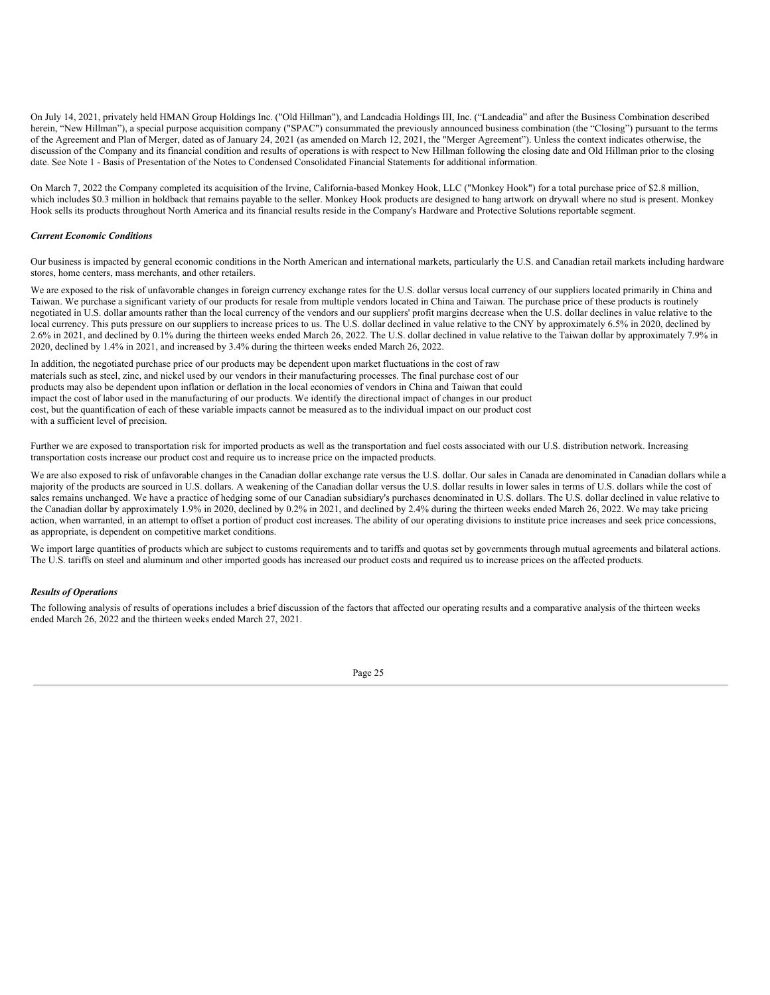On July 14, 2021, privately held HMAN Group Holdings Inc. ("Old Hillman"), and Landcadia Holdings III, Inc. ("Landcadia" and after the Business Combination described herein, "New Hillman"), a special purpose acquisition company ("SPAC") consummated the previously announced business combination (the "Closing") pursuant to the terms of the Agreement and Plan of Merger, dated as of January 24, 2021 (as amended on March 12, 2021, the "Merger Agreement"). Unless the context indicates otherwise, the discussion of the Company and its financial condition and results of operations is with respect to New Hillman following the closing date and Old Hillman prior to the closing date. See Note 1 - Basis of Presentation of the Notes to Condensed Consolidated Financial Statements for additional information.

On March 7, 2022 the Company completed its acquisition of the Irvine, California-based Monkey Hook, LLC ("Monkey Hook") for a total purchase price of \$2.8 million, which includes \$0.3 million in holdback that remains payable to the seller. Monkey Hook products are designed to hang artwork on drywall where no stud is present. Monkey Hook sells its products throughout North America and its financial results reside in the Company's Hardware and Protective Solutions reportable segment.

#### *Current Economic Conditions*

Our business is impacted by general economic conditions in the North American and international markets, particularly the U.S. and Canadian retail markets including hardware stores, home centers, mass merchants, and other retailers.

We are exposed to the risk of unfavorable changes in foreign currency exchange rates for the U.S. dollar versus local currency of our suppliers located primarily in China and Taiwan. We purchase a significant variety of our products for resale from multiple vendors located in China and Taiwan. The purchase price of these products is routinely negotiated in U.S. dollar amounts rather than the local currency of the vendors and our suppliers' profit margins decrease when the U.S. dollar declines in value relative to the local currency. This puts pressure on our suppliers to increase prices to us. The U.S. dollar declined in value relative to the CNY by approximately 6.5% in 2020, declined by 2.6% in 2021, and declined by 0.1% during the thirteen weeks ended March 26, 2022. The U.S. dollar declined in value relative to the Taiwan dollar by approximately 7.9% in 2020, declined by 1.4% in 2021, and increased by 3.4% during the thirteen weeks ended March 26, 2022.

In addition, the negotiated purchase price of our products may be dependent upon market fluctuations in the cost of raw materials such as steel, zinc, and nickel used by our vendors in their manufacturing processes. The final purchase cost of our products may also be dependent upon inflation or deflation in the local economies of vendors in China and Taiwan that could impact the cost of labor used in the manufacturing of our products. We identify the directional impact of changes in our product cost, but the quantification of each of these variable impacts cannot be measured as to the individual impact on our product cost with a sufficient level of precision.

Further we are exposed to transportation risk for imported products as well as the transportation and fuel costs associated with our U.S. distribution network. Increasing transportation costs increase our product cost and require us to increase price on the impacted products.

We are also exposed to risk of unfavorable changes in the Canadian dollar exchange rate versus the U.S. dollar. Our sales in Canada are denominated in Canadian dollars while a majority of the products are sourced in U.S. dollars. A weakening of the Canadian dollar versus the U.S. dollar results in lower sales in terms of U.S. dollars while the cost of sales remains unchanged. We have a practice of hedging some of our Canadian subsidiary's purchases denominated in U.S. dollars. The U.S. dollar declined in value relative to the Canadian dollar by approximately 1.9% in 2020, declined by 0.2% in 2021, and declined by 2.4% during the thirteen weeks ended March 26, 2022. We may take pricing action, when warranted, in an attempt to offset a portion of product cost increases. The ability of our operating divisions to institute price increases and seek price concessions, as appropriate, is dependent on competitive market conditions.

We import large quantities of products which are subject to customs requirements and to tariffs and quotas set by governments through mutual agreements and bilateral actions. The U.S. tariffs on steel and aluminum and other imported goods has increased our product costs and required us to increase prices on the affected products.

### *Results of Operations*

The following analysis of results of operations includes a brief discussion of the factors that affected our operating results and a comparative analysis of the thirteen weeks ended March 26, 2022 and the thirteen weeks ended March 27, 2021.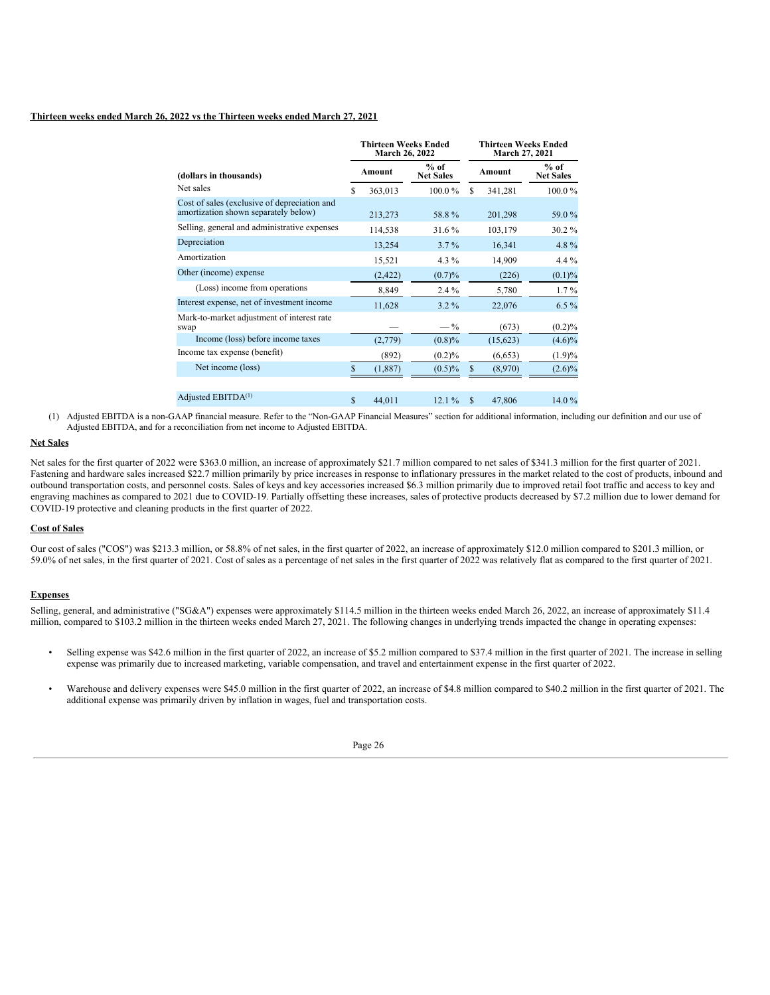## **Thirteen weeks ended March 26, 2022 vs the Thirteen weeks ended March 27, 2021**

|                                                                                      |    | <b>Thirteen Weeks Ended</b><br>March 26, 2022 |                            |     | <b>Thirteen Weeks Ended</b><br><b>March 27, 2021</b> |                            |  |  |
|--------------------------------------------------------------------------------------|----|-----------------------------------------------|----------------------------|-----|------------------------------------------------------|----------------------------|--|--|
| (dollars in thousands)                                                               |    | Amount                                        | $%$ of<br><b>Net Sales</b> |     | Amount                                               | $%$ of<br><b>Net Sales</b> |  |  |
| Net sales                                                                            | S  | 363,013                                       | 100.0%                     | \$. | 341,281                                              | 100.0%                     |  |  |
| Cost of sales (exclusive of depreciation and<br>amortization shown separately below) |    | 213,273                                       | 58.8%                      |     | 201,298                                              | 59.0 %                     |  |  |
| Selling, general and administrative expenses                                         |    | 114,538                                       | 31.6%                      |     | 103,179                                              | 30.2%                      |  |  |
| Depreciation                                                                         |    | 13,254                                        | $3.7\%$                    |     | 16,341                                               | 4.8%                       |  |  |
| Amortization                                                                         |    | 15,521                                        | $4.3\%$                    |     | 14,909                                               | 4.4 $%$                    |  |  |
| Other (income) expense                                                               |    | (2, 422)                                      | (0.7)%                     |     | (226)                                                | $(0.1)\%$                  |  |  |
| (Loss) income from operations                                                        |    | 8,849                                         | $2.4\%$                    |     | 5,780                                                | $1.7\%$                    |  |  |
| Interest expense, net of investment income                                           |    | 11,628                                        | $3.2\%$                    |     | 22,076                                               | $6.5\%$                    |  |  |
| Mark-to-market adjustment of interest rate<br>swap                                   |    |                                               | $-\frac{9}{6}$             |     | (673)                                                | $(0.2)\%$                  |  |  |
| Income (loss) before income taxes                                                    |    | (2,779)                                       | $(0.8)\%$                  |     | (15,623)                                             | $(4.6)\%$                  |  |  |
| Income tax expense (benefit)                                                         |    | (892)                                         | $(0.2)\%$                  |     | (6,653)                                              | (1.9)%                     |  |  |
| Net income (loss)                                                                    |    | (1,887)                                       | $(0.5)\%$                  | \$  | (8,970)                                              | $(2.6)\%$                  |  |  |
| Adjusted EBITDA <sup>(1)</sup>                                                       | \$ | 44,011                                        | 12.1%                      | \$  | 47,806                                               | 14.0%                      |  |  |

(1) Adjusted EBITDA is a non-GAAP financial measure. Refer to the "Non-GAAP Financial Measures" section for additional information, including our definition and our use of Adjusted EBITDA, and for a reconciliation from net income to Adjusted EBITDA.

## **Net Sales**

Net sales for the first quarter of 2022 were \$363.0 million, an increase of approximately \$21.7 million compared to net sales of \$341.3 million for the first quarter of 2021. Fastening and hardware sales increased \$22.7 million primarily by price increases in response to inflationary pressures in the market related to the cost of products, inbound and outbound transportation costs, and personnel costs. Sales of keys and key accessories increased \$6.3 million primarily due to improved retail foot traffic and access to key and engraving machines as compared to 2021 due to COVID-19. Partially offsetting these increases, sales of protective products decreased by \$7.2 million due to lower demand for COVID-19 protective and cleaning products in the first quarter of 2022.

## **Cost of Sales**

Our cost of sales ("COS") was \$213.3 million, or 58.8% of net sales, in the first quarter of 2022, an increase of approximately \$12.0 million compared to \$201.3 million, or 59.0% of net sales, in the first quarter of 2021. Cost of sales as a percentage of net sales in the first quarter of 2022 was relatively flat as compared to the first quarter of 2021.

## **Expenses**

Selling, general, and administrative ("SG&A") expenses were approximately \$114.5 million in the thirteen weeks ended March 26, 2022, an increase of approximately \$11.4 million, compared to \$103.2 million in the thirteen weeks ended March 27, 2021. The following changes in underlying trends impacted the change in operating expenses:

- Selling expense was \$42.6 million in the first quarter of 2022, an increase of \$5.2 million compared to \$37.4 million in the first quarter of 2021. The increase in selling expense was primarily due to increased marketing, variable compensation, and travel and entertainment expense in the first quarter of 2022.
- Warehouse and delivery expenses were \$45.0 million in the first quarter of 2022, an increase of \$4.8 million compared to \$40.2 million in the first quarter of 2021. The additional expense was primarily driven by inflation in wages, fuel and transportation costs.

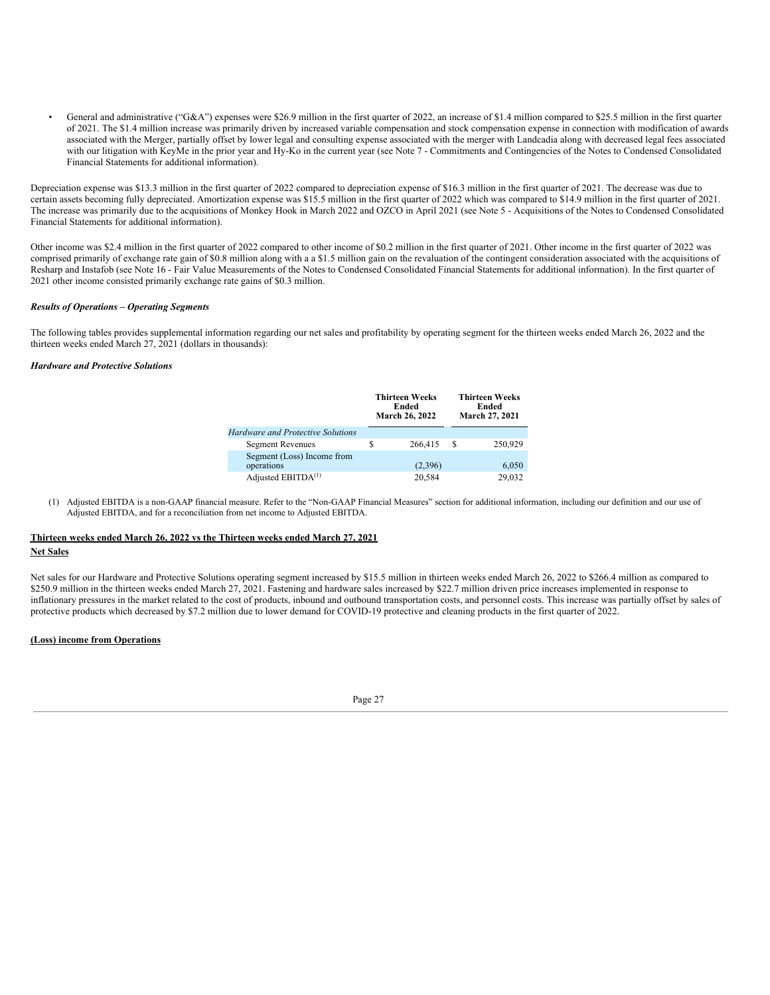• General and administrative ("G&A") expenses were \$26.9 million in the first quarter of 2022, an increase of \$1.4 million compared to \$25.5 million in the first quarter of 2021. The \$1.4 million increase was primarily driven by increased variable compensation and stock compensation expense in connection with modification of awards associated with the Merger, partially offset by lower legal and consulting expense associated with the merger with Landcadia along with decreased legal fees associated with our litigation with KeyMe in the prior year and Hy-Ko in the current year (see Note 7 - Commitments and Contingencies of the Notes to Condensed Consolidated Financial Statements for additional information).

Depreciation expense was \$13.3 million in the first quarter of 2022 compared to depreciation expense of \$16.3 million in the first quarter of 2021. The decrease was due to certain assets becoming fully depreciated. Amortization expense was \$15.5 million in the first quarter of 2022 which was compared to \$14.9 million in the first quarter of 2021. The increase was primarily due to the acquisitions of Monkey Hook in March 2022 and OZCO in April 2021 (see Note 5 - Acquisitions of the Notes to Condensed Consolidated Financial Statements for additional information).

Other income was \$2.4 million in the first quarter of 2022 compared to other income of \$0.2 million in the first quarter of 2021. Other income in the first quarter of 2022 was comprised primarily of exchange rate gain of \$0.8 million along with a a \$1.5 million gain on the revaluation of the contingent consideration associated with the acquisitions of Resharp and Instafob (see Note 16 - Fair Value Measurements of the Notes to Condensed Consolidated Financial Statements for additional information). In the first quarter of 2021 other income consisted primarily exchange rate gains of \$0.3 million.

### *Results of Operations – Operating Segments*

The following tables provides supplemental information regarding our net sales and profitability by operating segment for the thirteen weeks ended March 26, 2022 and the thirteen weeks ended March 27, 2021 (dollars in thousands):

## *Hardware and Protective Solutions*

|                                          |   | <b>Thirteen Weeks</b><br>Ended<br>March 26, 2022 | <b>Thirteen Weeks</b><br>Ended<br>March 27, 2021 |         |  |
|------------------------------------------|---|--------------------------------------------------|--------------------------------------------------|---------|--|
| <b>Hardware and Protective Solutions</b> |   |                                                  |                                                  |         |  |
| <b>Segment Revenues</b>                  | S | 266,415                                          | -S                                               | 250,929 |  |
| Segment (Loss) Income from<br>operations |   | (2,396)                                          |                                                  | 6,050   |  |
| Adjusted EBITDA <sup>(1)</sup>           |   | 20.584                                           |                                                  | 29.032  |  |

(1) Adjusted EBITDA is a non-GAAP financial measure. Refer to the "Non-GAAP Financial Measures" section for additional information, including our definition and our use of Adjusted EBITDA, and for a reconciliation from net income to Adjusted EBITDA.

## **Thirteen weeks ended March 26, 2022 vs the Thirteen weeks ended March 27, 2021 Net Sales**

Net sales for our Hardware and Protective Solutions operating segment increased by \$15.5 million in thirteen weeks ended March 26, 2022 to \$266.4 million as compared to \$250.9 million in the thirteen weeks ended March 27, 2021. Fastening and hardware sales increased by \$22.7 million driven price increases implemented in response to inflationary pressures in the market related to the cost of products, inbound and outbound transportation costs, and personnel costs. This increase was partially offset by sales of protective products which decreased by \$7.2 million due to lower demand for COVID-19 protective and cleaning products in the first quarter of 2022.

## **(Loss) income from Operations**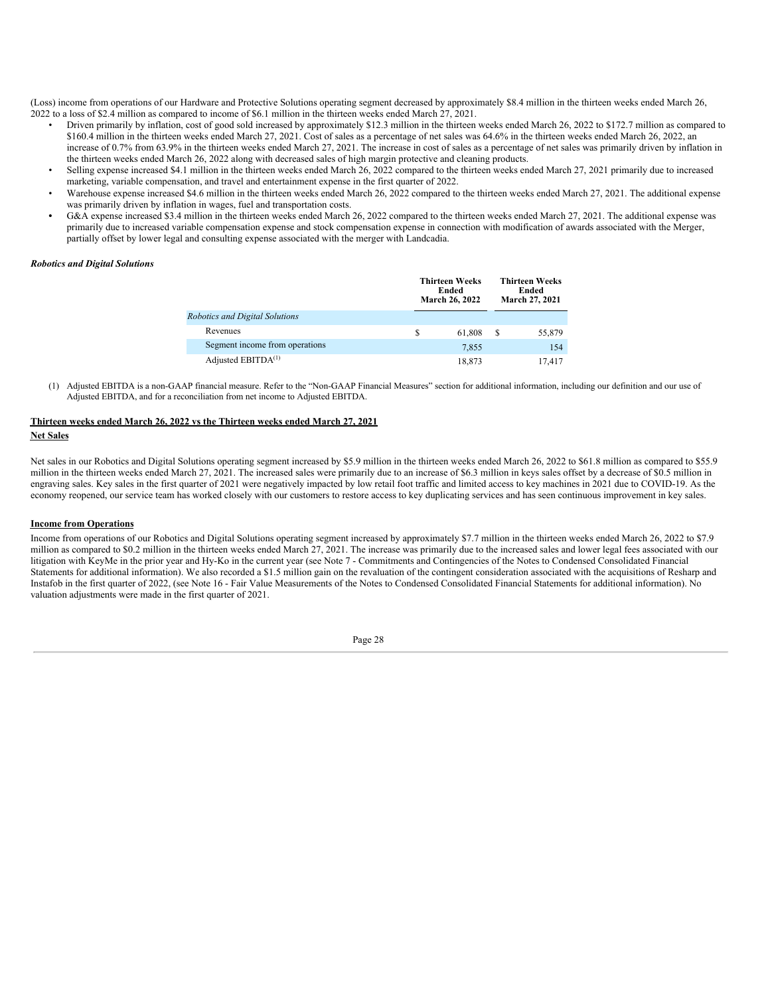(Loss) income from operations of our Hardware and Protective Solutions operating segment decreased by approximately \$8.4 million in the thirteen weeks ended March 26, 2022 to a loss of \$2.4 million as compared to income of \$6.1 million in the thirteen weeks ended March 27, 2021.

- Driven primarily by inflation, cost of good sold increased by approximately \$12.3 million in the thirteen weeks ended March 26, 2022 to \$172.7 million as compared to \$160.4 million in the thirteen weeks ended March 27, 2021. Cost of sales as a percentage of net sales was 64.6% in the thirteen weeks ended March 26, 2022, an increase of 0.7% from 63.9% in the thirteen weeks ended March 27, 2021. The increase in cost of sales as a percentage of net sales was primarily driven by inflation in the thirteen weeks ended March 26, 2022 along with decreased sales of high margin protective and cleaning products.
- Selling expense increased \$4.1 million in the thirteen weeks ended March 26, 2022 compared to the thirteen weeks ended March 27, 2021 primarily due to increased marketing, variable compensation, and travel and entertainment expense in the first quarter of 2022.
- Warehouse expense increased \$4.6 million in the thirteen weeks ended March 26, 2022 compared to the thirteen weeks ended March 27, 2021. The additional expense was primarily driven by inflation in wages, fuel and transportation costs.
- G&A expense increased \$3.4 million in the thirteen weeks ended March 26, 2022 compared to the thirteen weeks ended March 27, 2021. The additional expense was primarily due to increased variable compensation expense and stock compensation expense in connection with modification of awards associated with the Merger, partially offset by lower legal and consulting expense associated with the merger with Landcadia.

### *Robotics and Digital Solutions*

|                                |   | <b>Thirteen Weeks</b><br>Ended<br><b>March 26, 2022</b> |   | <b>Thirteen Weeks</b><br>Ended<br>March 27, 2021 |
|--------------------------------|---|---------------------------------------------------------|---|--------------------------------------------------|
| Robotics and Digital Solutions |   |                                                         |   |                                                  |
| Revenues                       | S | 61,808                                                  | S | 55,879                                           |
| Segment income from operations |   | 7.855                                                   |   | 154                                              |
| Adjusted EBITDA <sup>(1)</sup> |   | 18.873                                                  |   | 17.417                                           |

(1) Adjusted EBITDA is a non-GAAP financial measure. Refer to the "Non-GAAP Financial Measures" section for additional information, including our definition and our use of Adjusted EBITDA, and for a reconciliation from net income to Adjusted EBITDA.

## **Thirteen weeks ended March 26, 2022 vs the Thirteen weeks ended March 27, 2021**

## **Net Sales**

Net sales in our Robotics and Digital Solutions operating segment increased by \$5.9 million in the thirteen weeks ended March 26, 2022 to \$61.8 million as compared to \$55.9 million in the thirteen weeks ended March 27, 2021. The increased sales were primarily due to an increase of \$6.3 million in keys sales offset by a decrease of \$0.5 million in engraving sales. Key sales in the first quarter of 2021 were negatively impacted by low retail foot traffic and limited access to key machines in 2021 due to COVID-19. As the economy reopened, our service team has worked closely with our customers to restore access to key duplicating services and has seen continuous improvement in key sales.

### **Income from Operations**

Income from operations of our Robotics and Digital Solutions operating segment increased by approximately \$7.7 million in the thirteen weeks ended March 26, 2022 to \$7.9 million as compared to \$0.2 million in the thirteen weeks ended March 27, 2021. The increase was primarily due to the increased sales and lower legal fees associated with our litigation with KeyMe in the prior year and Hy-Ko in the current year (see Note 7 - Commitments and Contingencies of the Notes to Condensed Consolidated Financial Statements for additional information). We also recorded a \$1.5 million gain on the revaluation of the contingent consideration associated with the acquisitions of Resharp and Instafob in the first quarter of 2022, (see Note 16 - Fair Value Measurements of the Notes to Condensed Consolidated Financial Statements for additional information). No valuation adjustments were made in the first quarter of 2021.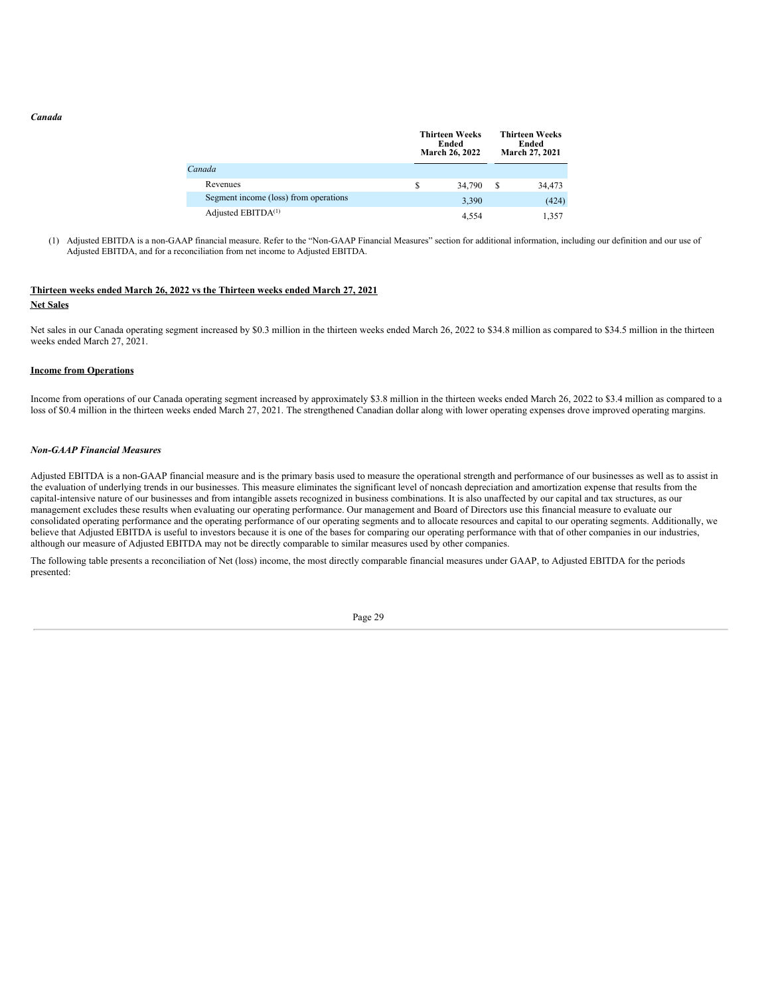#### *Canada*

|                                       |   | <b>Thirteen Weeks</b><br>Ended<br><b>March 26, 2022</b> | <b>Thirteen Weeks</b><br>Ended<br>March 27, 2021 |        |  |
|---------------------------------------|---|---------------------------------------------------------|--------------------------------------------------|--------|--|
| Canada                                |   |                                                         |                                                  |        |  |
| Revenues                              | S | 34,790                                                  | S                                                | 34,473 |  |
| Segment income (loss) from operations |   | 3,390                                                   |                                                  | (424)  |  |
| Adjusted EBITDA <sup>(1)</sup>        |   | 4.554                                                   |                                                  | 1.357  |  |

(1) Adjusted EBITDA is a non-GAAP financial measure. Refer to the "Non-GAAP Financial Measures" section for additional information, including our definition and our use of Adjusted EBITDA, and for a reconciliation from net income to Adjusted EBITDA.

## **Thirteen weeks ended March 26, 2022 vs the Thirteen weeks ended March 27, 2021 Net Sales**

Net sales in our Canada operating segment increased by \$0.3 million in the thirteen weeks ended March 26, 2022 to \$34.8 million as compared to \$34.5 million in the thirteen weeks ended March 27, 2021.

#### **Income from Operations**

Income from operations of our Canada operating segment increased by approximately \$3.8 million in the thirteen weeks ended March 26, 2022 to \$3.4 million as compared to a loss of \$0.4 million in the thirteen weeks ended March 27, 2021. The strengthened Canadian dollar along with lower operating expenses drove improved operating margins.

#### *Non-GAAP Financial Measures*

Adjusted EBITDA is a non-GAAP financial measure and is the primary basis used to measure the operational strength and performance of our businesses as well as to assist in the evaluation of underlying trends in our businesses. This measure eliminates the significant level of noncash depreciation and amortization expense that results from the capital-intensive nature of our businesses and from intangible assets recognized in business combinations. It is also unaffected by our capital and tax structures, as our management excludes these results when evaluating our operating performance. Our management and Board of Directors use this financial measure to evaluate our consolidated operating performance and the operating performance of our operating segments and to allocate resources and capital to our operating segments. Additionally, we believe that Adjusted EBITDA is useful to investors because it is one of the bases for comparing our operating performance with that of other companies in our industries, although our measure of Adjusted EBITDA may not be directly comparable to similar measures used by other companies.

The following table presents a reconciliation of Net (loss) income, the most directly comparable financial measures under GAAP, to Adjusted EBITDA for the periods presented: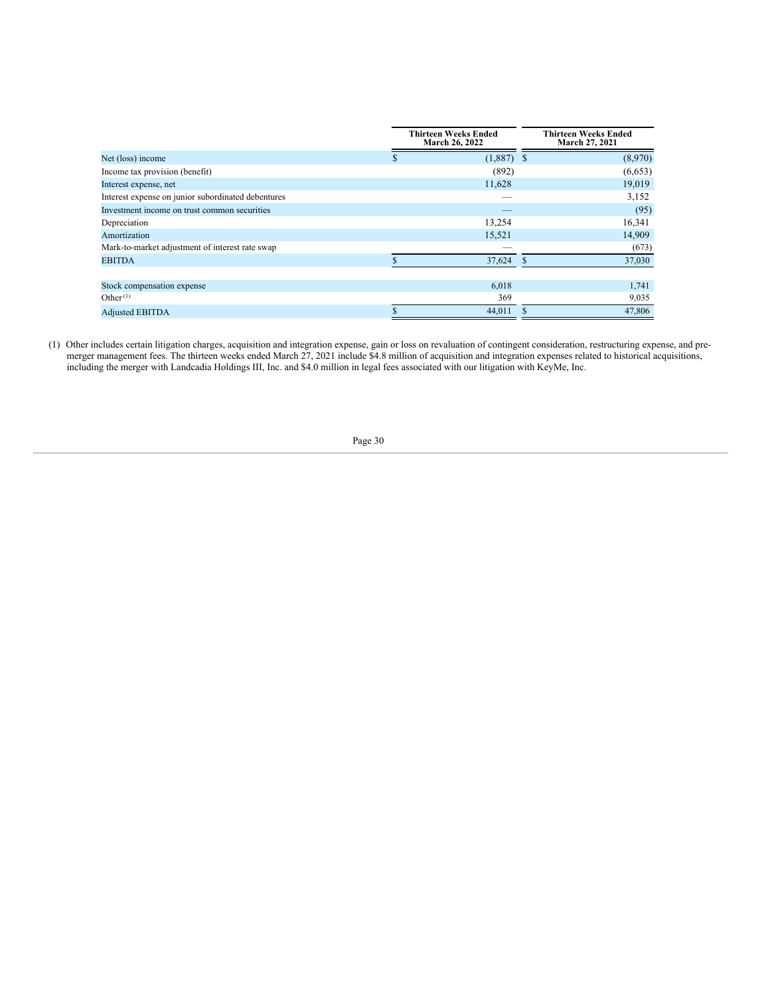|                                                    | <b>Thirteen Weeks Ended</b><br><b>March 26, 2022</b> | <b>Thirteen Weeks Ended</b><br>March 27, 2021 |
|----------------------------------------------------|------------------------------------------------------|-----------------------------------------------|
| Net (loss) income                                  | $(1,887)$ \$<br>\$.                                  | (8,970)                                       |
| Income tax provision (benefit)                     | (892)                                                | (6,653)                                       |
| Interest expense, net                              | 11,628                                               | 19,019                                        |
| Interest expense on junior subordinated debentures |                                                      | 3,152                                         |
| Investment income on trust common securities       |                                                      | (95)                                          |
| Depreciation                                       | 13,254                                               | 16,341                                        |
| Amortization                                       | 15,521                                               | 14,909                                        |
| Mark-to-market adjustment of interest rate swap    |                                                      | (673)                                         |
| <b>EBITDA</b>                                      | 37,624                                               | <b>S</b><br>37,030                            |
|                                                    |                                                      |                                               |
| Stock compensation expense                         | 6,018                                                | 1,741                                         |
| Other <sup>(1)</sup>                               | 369                                                  | 9,035                                         |
| <b>Adjusted EBITDA</b>                             | 44.011                                               | 47,806                                        |

(1) Other includes certain litigation charges, acquisition and integration expense, gain or loss on revaluation of contingent consideration, restructuring expense, and premerger management fees. The thirteen weeks ended March 27, 2021 include \$4.8 million of acquisition and integration expenses related to historical acquisitions, including the merger with Landcadia Holdings III, Inc. and \$4.0 million in legal fees associated with our litigation with KeyMe, Inc.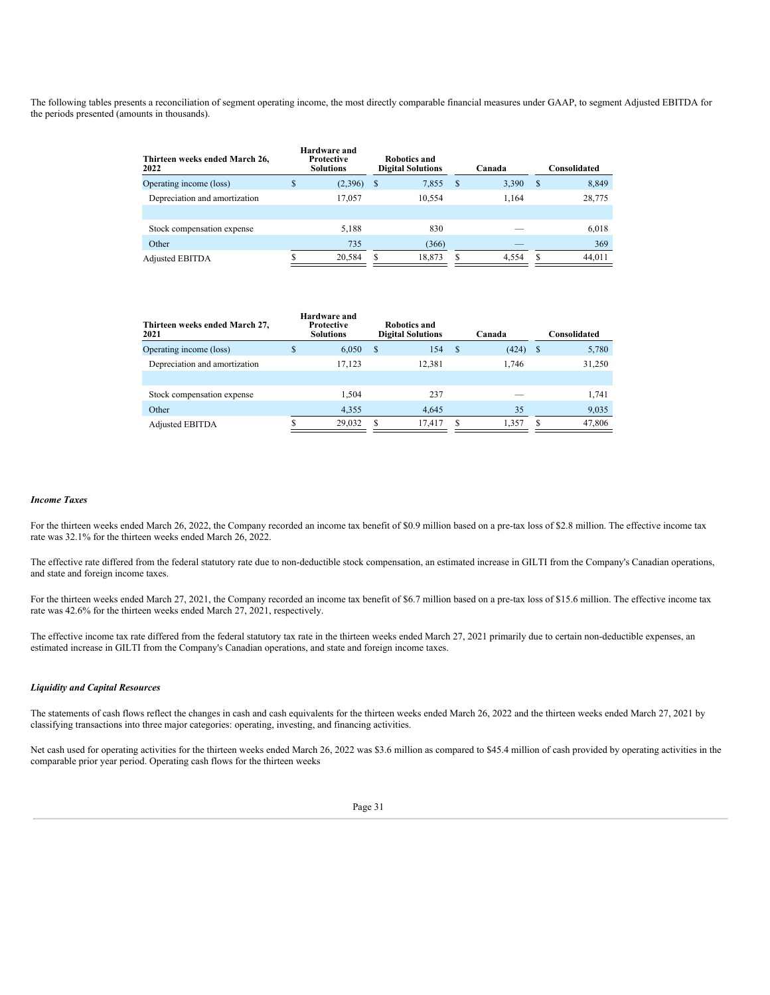The following tables presents a reconciliation of segment operating income, the most directly comparable financial measures under GAAP, to segment Adjusted EBITDA for the periods presented (amounts in thousands).

| Thirteen weeks ended March 26,<br>2022 | Hardware and<br><b>Protective</b><br><b>Solutions</b> |   | Robotics and<br><b>Digital Solutions</b> |    | Canada |               | Consolidated |
|----------------------------------------|-------------------------------------------------------|---|------------------------------------------|----|--------|---------------|--------------|
| Operating income (loss)                | \$<br>(2,396)                                         | S | 7,855                                    | -S | 3,390  | <sup>\$</sup> | 8,849        |
| Depreciation and amortization          | 17.057                                                |   | 10,554                                   |    | 1.164  |               | 28,775       |
| Stock compensation expense             | 5.188                                                 |   | 830                                      |    |        |               | 6,018        |
| Other                                  | 735                                                   |   | (366)                                    |    |        |               | 369          |
| <b>Adjusted EBITDA</b>                 | 20.584                                                |   | 18,873                                   |    | 4.554  |               | 44.011       |

| Thirteen weeks ended March 27,<br>2021 |   | Hardware and<br>Protective<br><b>Solutions</b> | Robotics and<br><b>Digital Solutions</b> |    | Canada |    | Consolidated |
|----------------------------------------|---|------------------------------------------------|------------------------------------------|----|--------|----|--------------|
| Operating income (loss)                | S | 6,050                                          | \$<br>154                                | -S | (424)  | -S | 5,780        |
| Depreciation and amortization          |   | 17.123                                         | 12.381                                   |    | 1.746  |    | 31,250       |
|                                        |   |                                                |                                          |    |        |    |              |
| Stock compensation expense             |   | 1.504                                          | 237                                      |    |        |    | 1.741        |
| Other                                  |   | 4,355                                          | 4.645                                    |    | 35     |    | 9,035        |
| <b>Adjusted EBITDA</b>                 |   | 29,032                                         | 17.417                                   | S  | 1.357  |    | 47,806       |

#### *Income Taxes*

For the thirteen weeks ended March 26, 2022, the Company recorded an income tax benefit of \$0.9 million based on a pre-tax loss of \$2.8 million. The effective income tax rate was 32.1% for the thirteen weeks ended March 26, 2022.

The effective rate differed from the federal statutory rate due to non-deductible stock compensation, an estimated increase in GILTI from the Company's Canadian operations, and state and foreign income taxes.

For the thirteen weeks ended March 27, 2021, the Company recorded an income tax benefit of \$6.7 million based on a pre-tax loss of \$15.6 million. The effective income tax rate was 42.6% for the thirteen weeks ended March 27, 2021, respectively.

The effective income tax rate differed from the federal statutory tax rate in the thirteen weeks ended March 27, 2021 primarily due to certain non-deductible expenses, an estimated increase in GILTI from the Company's Canadian operations, and state and foreign income taxes.

## *Liquidity and Capital Resources*

The statements of cash flows reflect the changes in cash and cash equivalents for the thirteen weeks ended March 26, 2022 and the thirteen weeks ended March 27, 2021 by classifying transactions into three major categories: operating, investing, and financing activities.

Net cash used for operating activities for the thirteen weeks ended March 26, 2022 was \$3.6 million as compared to \$45.4 million of cash provided by operating activities in the comparable prior year period. Operating cash flows for the thirteen weeks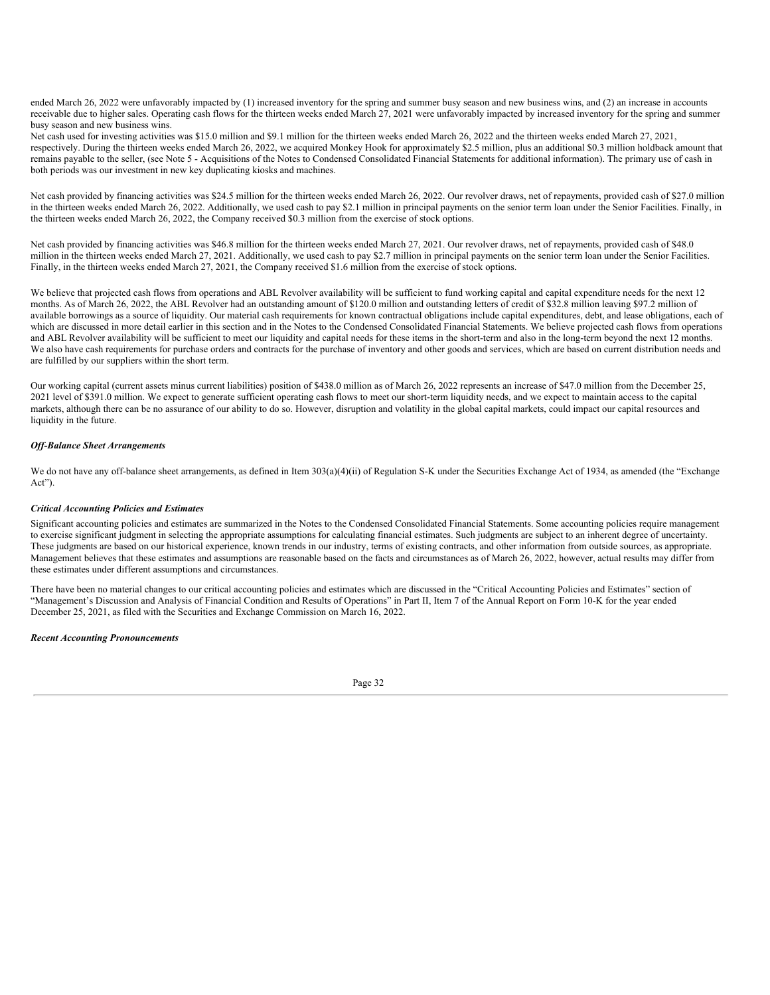ended March 26, 2022 were unfavorably impacted by (1) increased inventory for the spring and summer busy season and new business wins, and (2) an increase in accounts receivable due to higher sales. Operating cash flows for the thirteen weeks ended March 27, 2021 were unfavorably impacted by increased inventory for the spring and summer busy season and new business wins.

Net cash used for investing activities was \$15.0 million and \$9.1 million for the thirteen weeks ended March 26, 2022 and the thirteen weeks ended March 27, 2021, respectively. During the thirteen weeks ended March 26, 2022, we acquired Monkey Hook for approximately \$2.5 million, plus an additional \$0.3 million holdback amount that remains payable to the seller, (see Note 5 - Acquisitions of the Notes to Condensed Consolidated Financial Statements for additional information). The primary use of cash in both periods was our investment in new key duplicating kiosks and machines.

Net cash provided by financing activities was \$24.5 million for the thirteen weeks ended March 26, 2022. Our revolver draws, net of repayments, provided cash of \$27.0 million in the thirteen weeks ended March 26, 2022. Additionally, we used cash to pay \$2.1 million in principal payments on the senior term loan under the Senior Facilities. Finally, in the thirteen weeks ended March 26, 2022, the Company received \$0.3 million from the exercise of stock options.

Net cash provided by financing activities was \$46.8 million for the thirteen weeks ended March 27, 2021. Our revolver draws, net of repayments, provided cash of \$48.0 million in the thirteen weeks ended March 27, 2021. Additionally, we used cash to pay \$2.7 million in principal payments on the senior term loan under the Senior Facilities. Finally, in the thirteen weeks ended March 27, 2021, the Company received \$1.6 million from the exercise of stock options.

We believe that projected cash flows from operations and ABL Revolver availability will be sufficient to fund working capital and capital expenditure needs for the next 12 months. As of March 26, 2022, the ABL Revolver had an outstanding amount of \$120.0 million and outstanding letters of credit of \$32.8 million leaving \$97.2 million of available borrowings as a source of liquidity. Our material cash requirements for known contractual obligations include capital expenditures, debt, and lease obligations, each of which are discussed in more detail earlier in this section and in the Notes to the Condensed Consolidated Financial Statements. We believe projected cash flows from operations and ABL Revolver availability will be sufficient to meet our liquidity and capital needs for these items in the short-term and also in the long-term beyond the next 12 months. We also have cash requirements for purchase orders and contracts for the purchase of inventory and other goods and services, which are based on current distribution needs and are fulfilled by our suppliers within the short term.

Our working capital (current assets minus current liabilities) position of \$438.0 million as of March 26, 2022 represents an increase of \$47.0 million from the December 25, 2021 level of \$391.0 million. We expect to generate sufficient operating cash flows to meet our short-term liquidity needs, and we expect to maintain access to the capital markets, although there can be no assurance of our ability to do so. However, disruption and volatility in the global capital markets, could impact our capital resources and liquidity in the future.

### *Of -Balance Sheet Arrangements*

We do not have any off-balance sheet arrangements, as defined in Item  $303(a)(4)(ii)$  of Regulation S-K under the Securities Exchange Act of 1934, as amended (the "Exchange Act").

### *Critical Accounting Policies and Estimates*

Significant accounting policies and estimates are summarized in the Notes to the Condensed Consolidated Financial Statements. Some accounting policies require management to exercise significant judgment in selecting the appropriate assumptions for calculating financial estimates. Such judgments are subject to an inherent degree of uncertainty. These judgments are based on our historical experience, known trends in our industry, terms of existing contracts, and other information from outside sources, as appropriate. Management believes that these estimates and assumptions are reasonable based on the facts and circumstances as of March 26, 2022, however, actual results may differ from these estimates under different assumptions and circumstances.

There have been no material changes to our critical accounting policies and estimates which are discussed in the "Critical Accounting Policies and Estimates" section of "Management's Discussion and Analysis of Financial Condition and Results of Operations" in Part II, Item 7 of the Annual Report on Form 10-K for the year ended December 25, 2021, as filed with the Securities and Exchange Commission on March 16, 2022.

### *Recent Accounting Pronouncements*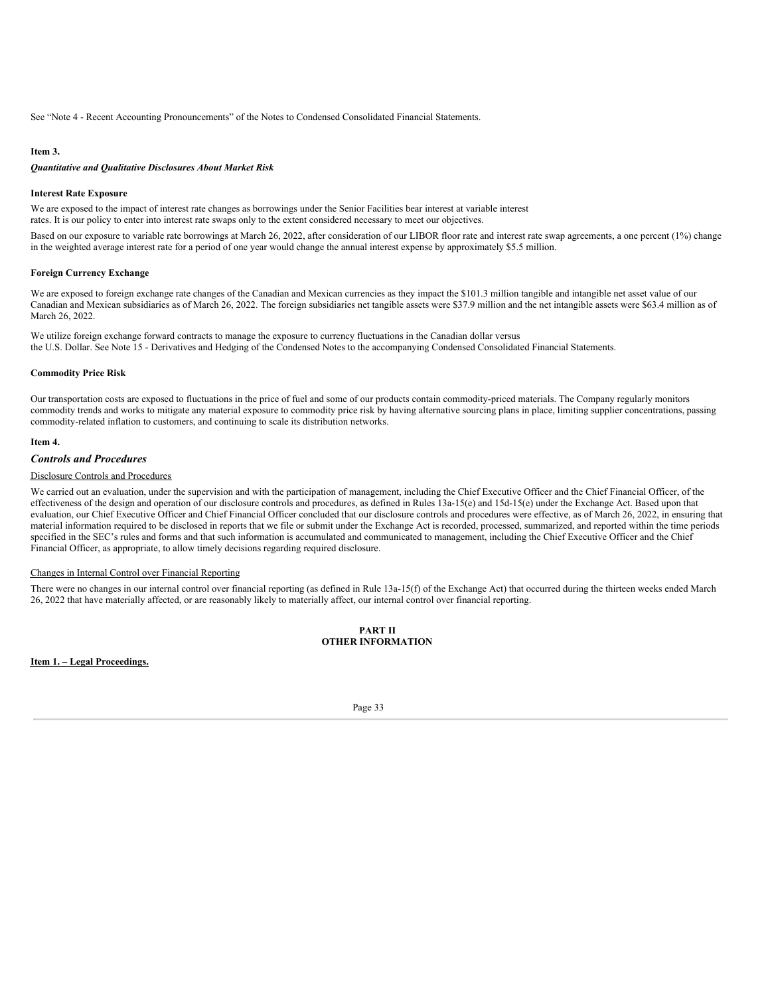See "Note 4 - Recent Accounting Pronouncements" of the Notes to Condensed Consolidated Financial Statements.

### <span id="page-32-0"></span>**Item 3.**

## *Quantitative and Qualitative Disclosures About Market Risk*

#### **Interest Rate Exposure**

We are exposed to the impact of interest rate changes as borrowings under the Senior Facilities bear interest at variable interest rates. It is our policy to enter into interest rate swaps only to the extent considered necessary to meet our objectives.

Based on our exposure to variable rate borrowings at March 26, 2022, after consideration of our LIBOR floor rate and interest rate swap agreements, a one percent (1%) change in the weighted average interest rate for a period of one year would change the annual interest expense by approximately \$5.5 million.

#### **Foreign Currency Exchange**

We are exposed to foreign exchange rate changes of the Canadian and Mexican currencies as they impact the \$101.3 million tangible and intangible net asset value of our Canadian and Mexican subsidiaries as of March 26, 2022. The foreign subsidiaries net tangible assets were \$37.9 million and the net intangible assets were \$63.4 million as of March 26, 2022.

We utilize foreign exchange forward contracts to manage the exposure to currency fluctuations in the Canadian dollar versus the U.S. Dollar. See Note 15 - Derivatives and Hedging of the Condensed Notes to the accompanying Condensed Consolidated Financial Statements.

#### **Commodity Price Risk**

Our transportation costs are exposed to fluctuations in the price of fuel and some of our products contain commodity-priced materials. The Company regularly monitors commodity trends and works to mitigate any material exposure to commodity price risk by having alternative sourcing plans in place, limiting supplier concentrations, passing commodity-related inflation to customers, and continuing to scale its distribution networks.

#### <span id="page-32-1"></span>**Item 4.**

#### *Controls and Procedures*

## Disclosure Controls and Procedures

We carried out an evaluation, under the supervision and with the participation of management, including the Chief Executive Officer and the Chief Financial Officer, of the effectiveness of the design and operation of our disclosure controls and procedures, as defined in Rules 13a-15(e) and 15d-15(e) under the Exchange Act. Based upon that evaluation, our Chief Executive Officer and Chief Financial Officer concluded that our disclosure controls and procedures were effective, as of March 26, 2022, in ensuring that material information required to be disclosed in reports that we file or submit under the Exchange Act is recorded, processed, summarized, and reported within the time periods specified in the SEC's rules and forms and that such information is accumulated and communicated to management, including the Chief Executive Officer and the Chief Financial Officer, as appropriate, to allow timely decisions regarding required disclosure.

#### Changes in Internal Control over Financial Reporting

There were no changes in our internal control over financial reporting (as defined in Rule 13a-15(f) of the Exchange Act) that occurred during the thirteen weeks ended March 26, 2022 that have materially affected, or are reasonably likely to materially affect, our internal control over financial reporting.

## **PART II OTHER INFORMATION**

<span id="page-32-2"></span>**Item 1. – Legal Proceedings.**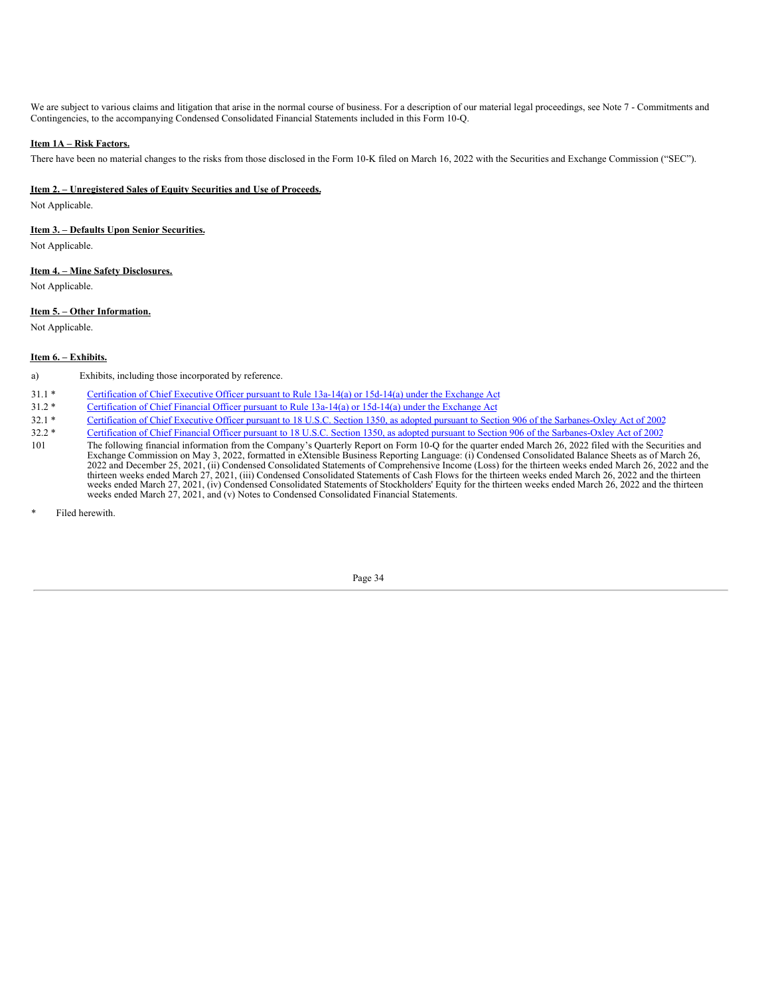We are subject to various claims and litigation that arise in the normal course of business. For a description of our material legal proceedings, see Note 7 - Commitments and Contingencies, to the accompanying Condensed Consolidated Financial Statements included in this Form 10-Q.

## **Item 1A – Risk Factors.**

There have been no material changes to the risks from those disclosed in the Form 10-K filed on March 16, 2022 with the Securities and Exchange Commission ("SEC").

## **Item 2. – Unregistered Sales of Equity Securities and Use of Proceeds.**

Not Applicable.

## **Item 3. – Defaults Upon Senior Securities.**

Not Applicable.

### **Item 4. – Mine Safety Disclosures.**

Not Applicable.

## **Item 5. – Other Information.**

Not Applicable.

## <span id="page-33-0"></span>**Item 6. – Exhibits.**

a) Exhibits, including those incorporated by reference.

- 31.1 \* [Certification](#page-35-0) of Chief Executive Officer pursuant to Rule 13a-14(a) or 15d-14(a) under the Exchange Act
- 31.2 \* [Certification](#page-36-0) of Chief Financial Officer pursuant to Rule 13a-14(a) or 15d-14(a) under the Exchange Act
- 32.1 \* Certification of Chief Executive Officer pursuant to 18 U.S.C. Section 1350, as adopted pursuant to Section 906 of the [Sarbanes-Oxley](#page-37-0) Act of 2002
- 32.2 \* Certification of Chief Financial Officer pursuant to 18 U.S.C. Section 1350, as adopted pursuant to Section 906 of the [Sarbanes-Oxley](#page-38-0) Act of 2002
- 101 The following financial information from the Company's Quarterly Report on Form 10-Q for the quarter ended March 26, 2022 filed with the Securities and Exchange Commission on May 3, 2022, formatted in eXtensible Business Reporting Language: (i) Condensed Consolidated Balance Sheets as of March 26, 2022 and December 25, 2021, (ii) Condensed Consolidated Statements of Comprehensive Income (Loss) for the thirteen weeks ended March 26, 2022 and the thirteen weeks ended March 27, 2021, (iii) Condensed Consolidated Statements of Cash Flows for the thirteen weeks ended March 26, 2022 and the thirteen weeks ended March 27, 2021, (iv) Condensed Consolidated Statements of

<span id="page-33-1"></span>Filed herewith.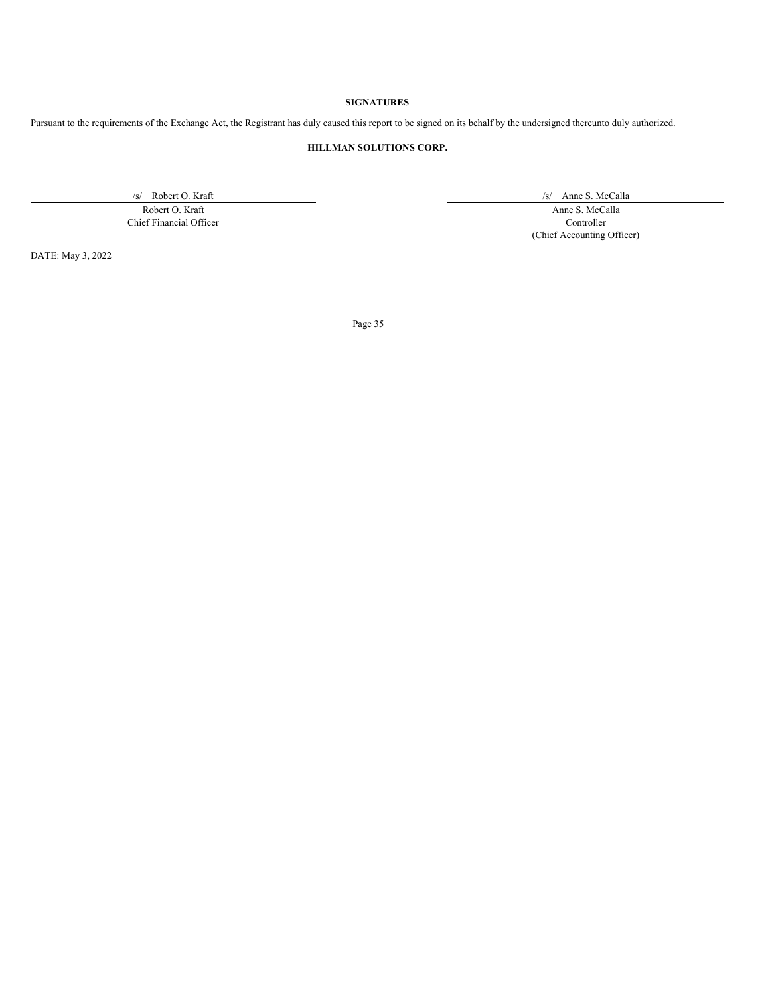## **SIGNATURES**

Pursuant to the requirements of the Exchange Act, the Registrant has duly caused this report to be signed on its behalf by the undersigned thereunto duly authorized.

## **HILLMAN SOLUTIONS CORP.**

Chief Financial Officer Controller

/s/ Robert O. Kraft /s/ Anne S. McCalla

Robert O. Kraft Anne S. McCalla (Chief Accounting Officer)

DATE: May 3, 2022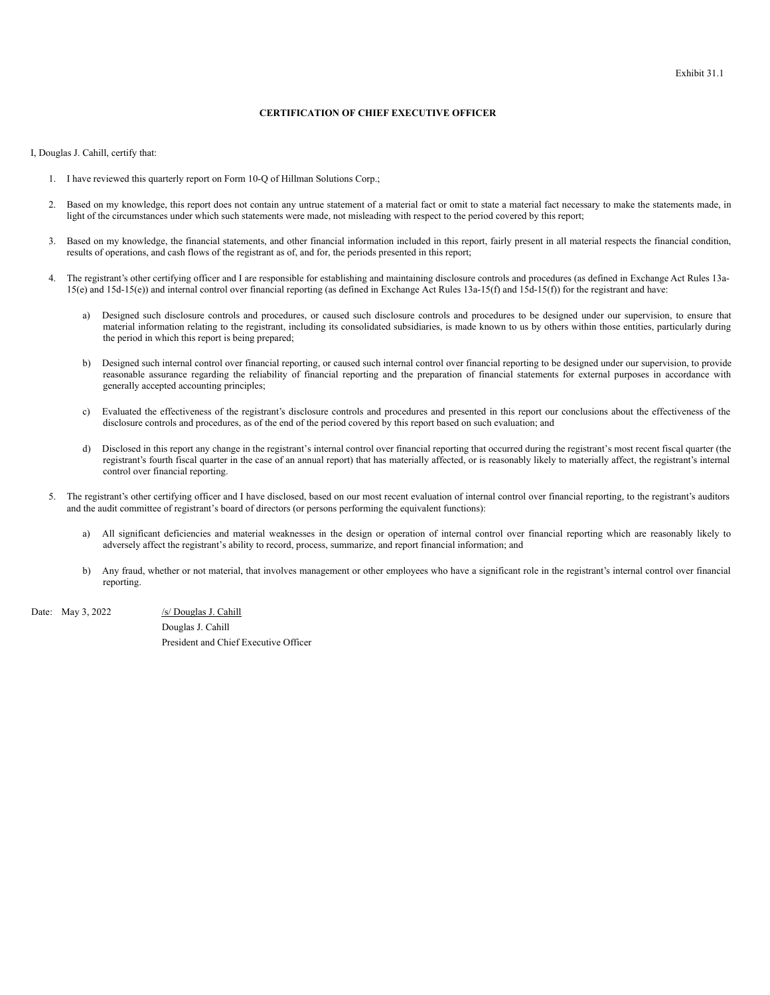#### **CERTIFICATION OF CHIEF EXECUTIVE OFFICER**

<span id="page-35-0"></span>I, Douglas J. Cahill, certify that:

- 1. I have reviewed this quarterly report on Form 10-Q of Hillman Solutions Corp.;
- 2. Based on my knowledge, this report does not contain any untrue statement of a material fact or omit to state a material fact necessary to make the statements made, in light of the circumstances under which such statements were made, not misleading with respect to the period covered by this report;
- 3. Based on my knowledge, the financial statements, and other financial information included in this report, fairly present in all material respects the financial condition, results of operations, and cash flows of the registrant as of, and for, the periods presented in this report;
- 4. The registrant's other certifying officer and I are responsible for establishing and maintaining disclosure controls and procedures (as defined in Exchange Act Rules 13a-15(e) and 15d-15(e)) and internal control over financial reporting (as defined in Exchange Act Rules 13a-15(f) and 15d-15(f)) for the registrant and have:
	- a) Designed such disclosure controls and procedures, or caused such disclosure controls and procedures to be designed under our supervision, to ensure that material information relating to the registrant, including its consolidated subsidiaries, is made known to us by others within those entities, particularly during the period in which this report is being prepared;
	- b) Designed such internal control over financial reporting, or caused such internal control over financial reporting to be designed under our supervision, to provide reasonable assurance regarding the reliability of financial reporting and the preparation of financial statements for external purposes in accordance with generally accepted accounting principles;
	- c) Evaluated the effectiveness of the registrant's disclosure controls and procedures and presented in this report our conclusions about the effectiveness of the disclosure controls and procedures, as of the end of the period covered by this report based on such evaluation; and
	- d) Disclosed in this report any change in the registrant's internal control over financial reporting that occurred during the registrant's most recent fiscal quarter (the registrant's fourth fiscal quarter in the case of an annual report) that has materially affected, or is reasonably likely to materially affect, the registrant's internal control over financial reporting.
- 5. The registrant's other certifying officer and I have disclosed, based on our most recent evaluation of internal control over financial reporting, to the registrant's auditors and the audit committee of registrant's board of directors (or persons performing the equivalent functions):
	- a) All significant deficiencies and material weaknesses in the design or operation of internal control over financial reporting which are reasonably likely to adversely affect the registrant's ability to record, process, summarize, and report financial information; and
	- b) Any fraud, whether or not material, that involves management or other employees who have a significant role in the registrant's internal control over financial reporting.

Date: May 3, 2022 /s/ Douglas J. Cahill Douglas J. Cahill President and Chief Executive Officer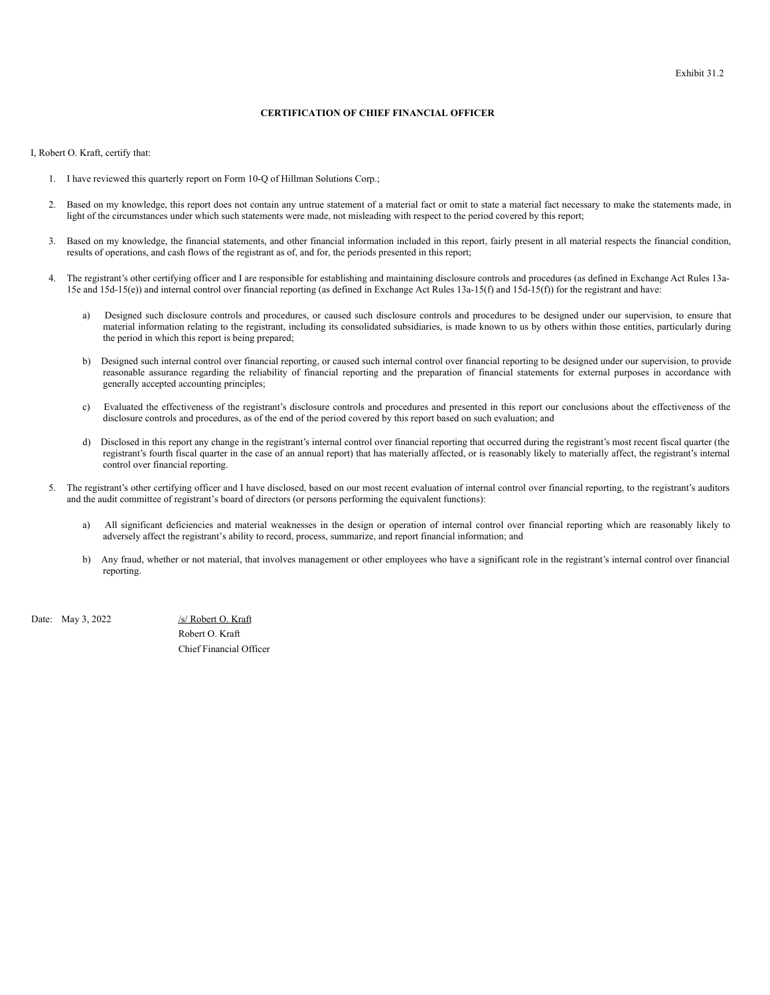#### **CERTIFICATION OF CHIEF FINANCIAL OFFICER**

<span id="page-36-0"></span>I, Robert O. Kraft, certify that:

- 1. I have reviewed this quarterly report on Form 10-Q of Hillman Solutions Corp.;
- 2. Based on my knowledge, this report does not contain any untrue statement of a material fact or omit to state a material fact necessary to make the statements made, in light of the circumstances under which such statements were made, not misleading with respect to the period covered by this report;
- 3. Based on my knowledge, the financial statements, and other financial information included in this report, fairly present in all material respects the financial condition, results of operations, and cash flows of the registrant as of, and for, the periods presented in this report;
- 4. The registrant's other certifying officer and I are responsible for establishing and maintaining disclosure controls and procedures (as defined in Exchange Act Rules 13a-15e and 15d-15(e)) and internal control over financial reporting (as defined in Exchange Act Rules 13a-15(f) and 15d-15(f)) for the registrant and have:
	- a) Designed such disclosure controls and procedures, or caused such disclosure controls and procedures to be designed under our supervision, to ensure that material information relating to the registrant, including its consolidated subsidiaries, is made known to us by others within those entities, particularly during the period in which this report is being prepared;
	- b) Designed such internal control over financial reporting, or caused such internal control over financial reporting to be designed under our supervision, to provide reasonable assurance regarding the reliability of financial reporting and the preparation of financial statements for external purposes in accordance with generally accepted accounting principles;
	- c) Evaluated the effectiveness of the registrant's disclosure controls and procedures and presented in this report our conclusions about the effectiveness of the disclosure controls and procedures, as of the end of the period covered by this report based on such evaluation; and
	- d) Disclosed in this report any change in the registrant's internal control over financial reporting that occurred during the registrant's most recent fiscal quarter (the registrant's fourth fiscal quarter in the case of an annual report) that has materially affected, or is reasonably likely to materially affect, the registrant's internal control over financial reporting.
- 5. The registrant's other certifying officer and I have disclosed, based on our most recent evaluation of internal control over financial reporting, to the registrant's auditors and the audit committee of registrant's board of directors (or persons performing the equivalent functions):
	- a) All significant deficiencies and material weaknesses in the design or operation of internal control over financial reporting which are reasonably likely to adversely affect the registrant's ability to record, process, summarize, and report financial information; and
	- b) Any fraud, whether or not material, that involves management or other employees who have a significant role in the registrant's internal control over financial reporting.

Date: May 3, 2022 /s/ Robert O. Kraft

Robert O. Kraft Chief Financial Officer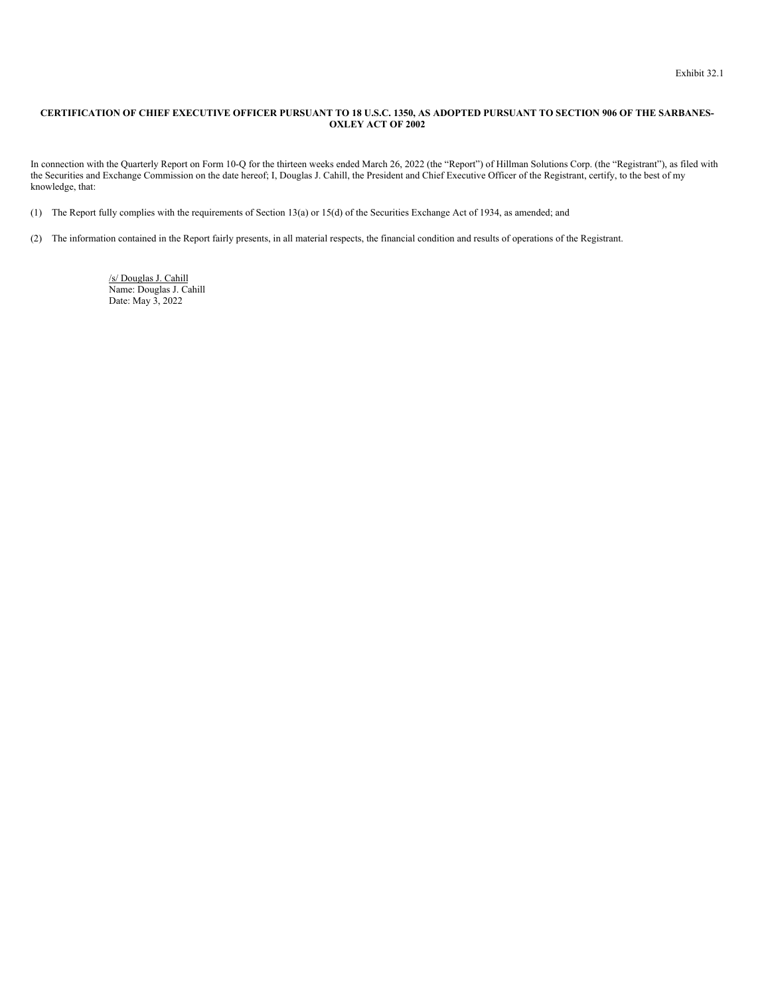## <span id="page-37-0"></span>CERTIFICATION OF CHIEF EXECUTIVE OFFICER PURSUANT TO 18 U.S.C. 1350, AS ADOPTED PURSUANT TO SECTION 906 OF THE SARBANES-**OXLEY ACT OF 2002**

In connection with the Quarterly Report on Form 10-Q for the thirteen weeks ended March 26, 2022 (the "Report") of Hillman Solutions Corp. (the "Registrant"), as filed with the Securities and Exchange Commission on the date hereof; I, Douglas J. Cahill, the President and Chief Executive Officer of the Registrant, certify, to the best of my knowledge, that:

(1) The Report fully complies with the requirements of Section 13(a) or 15(d) of the Securities Exchange Act of 1934, as amended; and

(2) The information contained in the Report fairly presents, in all material respects, the financial condition and results of operations of the Registrant.

/s/ Douglas J. Cahill Name: Douglas J. Cahill Date: May 3, 2022